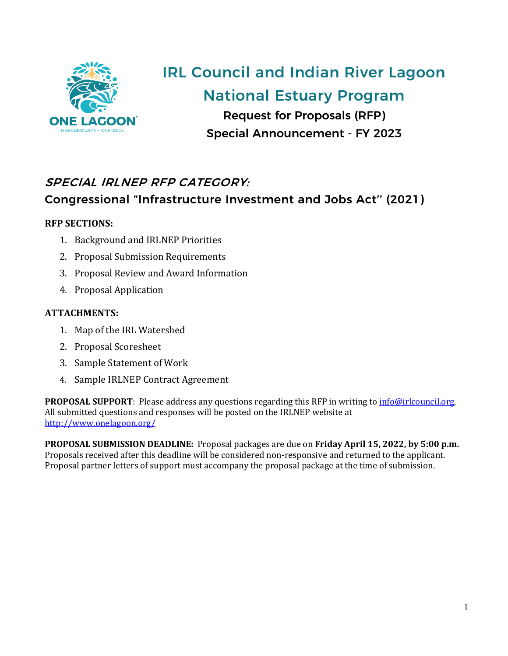

# IRL Council and Indian River Lagoon National Estuary Program

Request for Proposals (RFP) Special Announcement - FY 2023

# SPECIAL IRLNEP RFP CATEGORY:

# Congressional "Infrastructure Investment and Jobs Act'' (2021)

### **RFP SECTIONS:**

- 1. Background and IRLNEP Priorities
- 2. Proposal Submission Requirements
- 3. Proposal Review and Award Information
- 4. Proposal Application

### **ATTACHMENTS:**

- 1. Map of the IRL Watershed
- 2. Proposal Scoresheet
- 3. Sample Statement of Work
- 4. Sample IRLNEP Contract Agreement

**PROPOSAL SUPPORT**: Please address any questions regarding this RFP in writing to info@irlcouncil.org. All submitted questions and responses will be posted on the IRLNEP website at <http://www.onelagoon.org/>

**PROPOSAL SUBMISSION DEADLINE:** Proposal packages are due on **Friday April 15, 2022, by 5:00 p.m.**  Proposals received after this deadline will be considered non-responsive and returned to the applicant. Proposal partner letters of support must accompany the proposal package at the time of submission.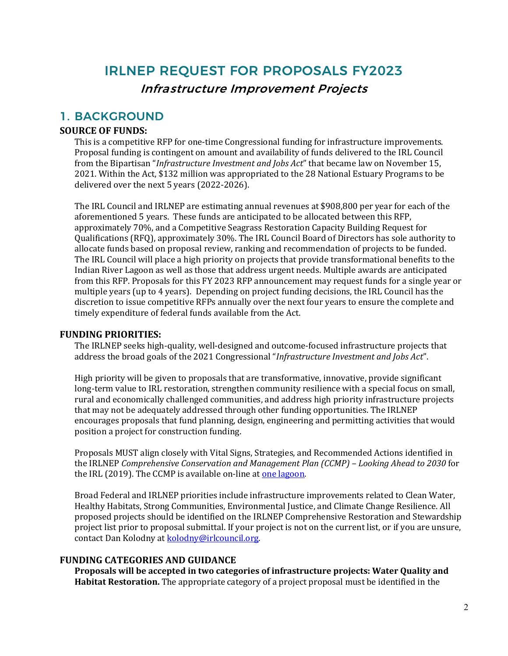# IRLNEP REQUEST FOR PROPOSALS FY2023 Infrastructure Improvement Projects

### 1. BACKGROUND

### **SOURCE OF FUNDS:**

This is a competitive RFP for one-time Congressional funding for infrastructure improvements. Proposal funding is contingent on amount and availability of funds delivered to the IRL Council from the Bipartisan "*Infrastructure Investment and Jobs Act*" that became law on November 15, 2021. Within the Act, \$132 million was appropriated to the 28 National Estuary Programs to be delivered over the next 5 years (2022-2026).

The IRL Council and IRLNEP are estimating annual revenues at \$908,800 per year for each of the aforementioned 5 years. These funds are anticipated to be allocated between this RFP, approximately 70%, and a Competitive Seagrass Restoration Capacity Building Request for Qualifications (RFQ), approximately 30%. The IRL Council Board of Directors has sole authority to allocate funds based on proposal review, ranking and recommendation of projects to be funded. The IRL Council will place a high priority on projects that provide transformational benefits to the Indian River Lagoon as well as those that address urgent needs. Multiple awards are anticipated from this RFP. Proposals for this FY 2023 RFP announcement may request funds for a single year or multiple years (up to 4 years). Depending on project funding decisions, the IRL Council has the discretion to issue competitive RFPs annually over the next four years to ensure the complete and timely expenditure of federal funds available from the Act.

### **FUNDING PRIORITIES:**

The IRLNEP seeks high-quality, well-designed and outcome-focused infrastructure projects that address the broad goals of the 2021 Congressional "*Infrastructure Investment and Jobs Act*".

High priority will be given to proposals that are transformative, innovative, provide significant long-term value to IRL restoration, strengthen community resilience with a special focus on small, rural and economically challenged communities, and address high priority infrastructure projects that may not be adequately addressed through other funding opportunities. The IRLNEP encourages proposals that fund planning, design, engineering and permitting activities that would position a project for construction funding.

Proposals MUST align closely with Vital Signs, Strategies, and Recommended Actions identified in the IRLNEP *Comprehensive Conservation and Management Plan (CCMP) – Looking Ahead to 2030* for the IRL (2019). The CCMP is available on-line at one lagoon.

Broad Federal and IRLNEP priorities include infrastructure improvements related to Clean Water, Healthy Habitats, Strong Communities, Environmental Justice, and Climate Change Resilience. All proposed projects should be identified on the IRLNEP Comprehensive Restoration and Stewardship project list prior to proposal submittal. If your project is not on the current list, or if you are unsure, contact Dan Kolodny a[t kolodny@irlcouncil.org.](mailto:kolodny@irlcouncil.org)

### **FUNDING CATEGORIES AND GUIDANCE**

**Proposals will be accepted in two categories of infrastructure projects: Water Quality and Habitat Restoration.** The appropriate category of a project proposal must be identified in the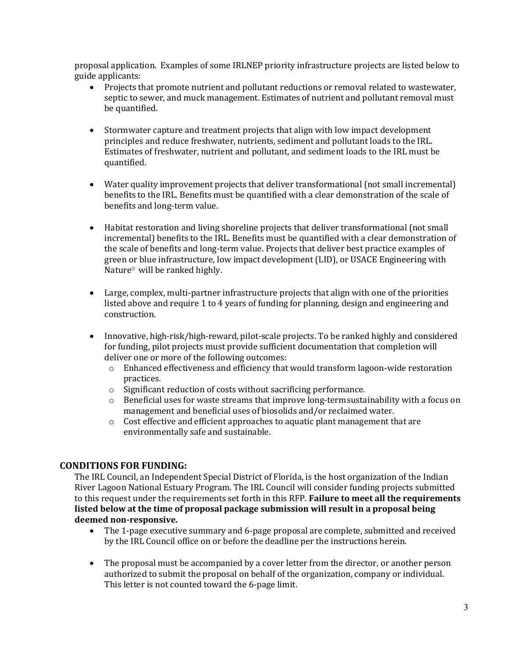proposal application. Examples of some IRLNEP priority infrastructure projects are listed below to guide applicants:

- Projects that promote nutrient and pollutant reductions or removal related to wastewater, septic to sewer, and muck management. Estimates of nutrient and pollutant removal must be quantified.
- Stormwater capture and treatment projects that align with low impact development principles and reduce freshwater, nutrients, sediment and pollutant loads to the IRL. Estimates of freshwater, nutrient and pollutant, and sediment loads to the IRL must be quantified.
- Water quality improvement projects that deliver transformational (not small incremental) benefits to the IRL. Benefits must be quantified with a clear demonstration of the scale of benefits and long-term value.
- Habitat restoration and living shoreline projects that deliver transformational (not small incremental) benefits to the IRL. Benefits must be quantified with a clear demonstration of the scale of benefits and long-term value. Projects that deliver best practice examples of green or blue infrastructure, low impact development (LID), or USACE Engineering with Nature® will be ranked highly.
- Large, complex, multi-partner infrastructure projects that align with one of the priorities listed above and require 1 to 4 years of funding for planning, design and engineering and construction.
- Innovative, high-risk/high-reward, pilot-scale projects. To be ranked highly and considered for funding, pilot projects must provide sufficient documentation that completion will deliver one or more of the following outcomes:
	- $\circ$  Enhanced effectiveness and efficiency that would transform lagoon-wide restoration practices.
	- o Significant reduction of costs without sacrificing performance.
	- $\circ$  Beneficial uses for waste streams that improve long-term sustainability with a focus on management and beneficial uses of biosolids and/or reclaimed water.
	- $\circ$  Cost effective and efficient approaches to aquatic plant management that are environmentally safe and sustainable.

### **CONDITIONS FOR FUNDING:**

The IRL Council, an Independent Special District of Florida, is the host organization of the Indian River Lagoon National Estuary Program. The IRL Council will consider funding projects submitted to this request under the requirements set forth in this RFP. **Failure to meet all the requirements listed below at the time of proposal package submission will result in a proposal being deemed non-responsive.**

- The 1-page executive summary and 6-page proposal are complete, submitted and received by the IRL Council office on or before the deadline per the instructions herein.
- The proposal must be accompanied by a cover letter from the director, or another person authorized to submit the proposal on behalf of the organization, company or individual. This letter is not counted toward the 6-page limit.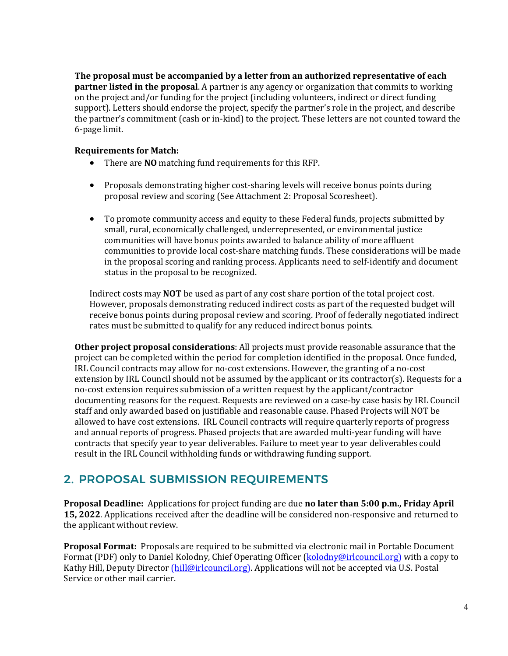**The proposal must be accompanied by a letter from an authorized representative of each partner listed in the proposal**. A partner is any agency or organization that commits to working on the project and/or funding for the project (including volunteers, indirect or direct funding support). Letters should endorse the project, specify the partner's role in the project, and describe the partner's commitment (cash or in-kind) to the project. These letters are not counted toward the 6-page limit.

### **Requirements for Match:**

- There are **NO** matching fund requirements for this RFP.
- Proposals demonstrating higher cost-sharing levels will receive bonus points during proposal review and scoring (See Attachment 2: Proposal Scoresheet).
- To promote community access and equity to these Federal funds, projects submitted by small, rural, economically challenged, underrepresented, or environmental justice communities will have bonus points awarded to balance ability of more affluent communities to provide local cost-share matching funds. These considerations will be made in the proposal scoring and ranking process. Applicants need to self-identify and document status in the proposal to be recognized.

Indirect costs may **NOT** be used as part of any cost share portion of the total project cost. However, proposals demonstrating reduced indirect costs as part of the requested budget will receive bonus points during proposal review and scoring. Proof of federally negotiated indirect rates must be submitted to qualify for any reduced indirect bonus points.

**Other project proposal considerations**: All projects must provide reasonable assurance that the project can be completed within the period for completion identified in the proposal. Once funded, IRL Council contracts may allow for no-cost extensions. However, the granting of a no-cost extension by IRL Council should not be assumed by the applicant or its contractor(s). Requests for a no-cost extension requires submission of a written request by the applicant/contractor documenting reasons for the request. Requests are reviewed on a case-by case basis by IRL Council staff and only awarded based on justifiable and reasonable cause. Phased Projects will NOT be allowed to have cost extensions. IRL Council contracts will require quarterly reports of progress and annual reports of progress. Phased projects that are awarded multi-year funding will have contracts that specify year to year deliverables. Failure to meet year to year deliverables could result in the IRL Council withholding funds or withdrawing funding support.

## 2. PROPOSAL SUBMISSION REQUIREMENTS

**Proposal Deadline:** Applications for project funding are due **no later than 5:00 p.m., Friday April 15, 2022**. Applications received after the deadline will be considered non-responsive and returned to the applicant without review.

**Proposal Format:** Proposals are required to be submitted via electronic mail in Portable Document Format (PDF) only to Daniel Kolodny, Chief Operating Officer (kolodny@irlcouncil.org) with a copy to Kathy Hill, Deputy Director (hill@irlcouncil.org). Applications will not be accepted via U.S. Postal Service or other mail carrier.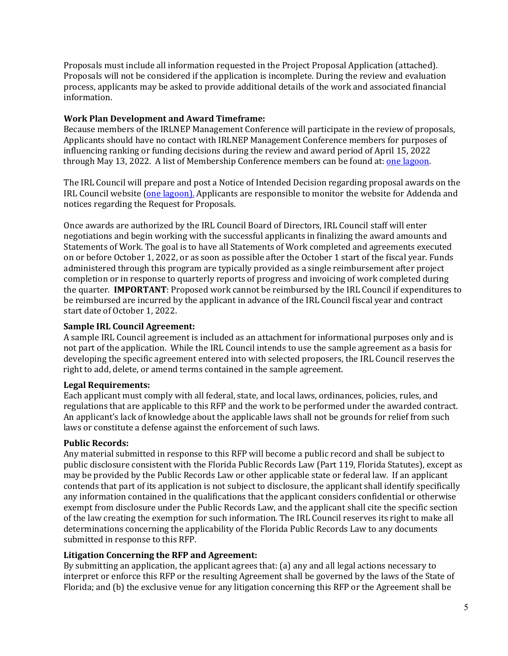Proposals must include all information requested in the Project Proposal Application (attached). Proposals will not be considered if the application is incomplete. During the review and evaluation process, applicants may be asked to provide additional details of the work and associated financial information.

### **Work Plan Development and Award Timeframe:**

Because members of the IRLNEP Management Conference will participate in the review of proposals, Applicants should have no contact with IRLNEP Management Conference members for purposes of influencing ranking or funding decisions during the review and award period of April 15, 2022 through May 13, 2022. A list of Membership Conference members can be found at: one lagoon.

The IRL Council will prepare and post a Notice of Intended Decision regarding proposal awards on the IRL Council website [\(one lagoon\).](https://onelagoon.org/) Applicants are responsible to monitor the website for Addenda and notices regarding the Request for Proposals.

Once awards are authorized by the IRL Council Board of Directors, IRL Council staff will enter negotiations and begin working with the successful applicants in finalizing the award amounts and Statements of Work. The goal is to have all Statements of Work completed and agreements executed on or before October 1, 2022, or as soon as possible after the October 1 start of the fiscal year. Funds administered through this program are typically provided as a single reimbursement after project completion or in response to quarterly reports of progress and invoicing of work completed during the quarter. **IMPORTANT**: Proposed work cannot be reimbursed by the IRL Council if expenditures to be reimbursed are incurred by the applicant in advance of the IRL Council fiscal year and contract start date of October 1, 2022.

### **Sample IRL Council Agreement:**

A sample IRL Council agreement is included as an attachment for informational purposes only and is not part of the application. While the IRL Council intends to use the sample agreement as a basis for developing the specific agreement entered into with selected proposers, the IRL Council reserves the right to add, delete, or amend terms contained in the sample agreement.

### **Legal Requirements:**

Each applicant must comply with all federal, state, and local laws, ordinances, policies, rules, and regulations that are applicable to this RFP and the work to be performed under the awarded contract. An applicant's lack of knowledge about the applicable laws shall not be grounds for relief from such laws or constitute a defense against the enforcement of such laws.

### **Public Records:**

Any material submitted in response to this RFP will become a public record and shall be subject to public disclosure consistent with the Florida Public Records Law (Part 119, Florida Statutes), except as may be provided by the Public Records Law or other applicable state or federal law. If an applicant contends that part of its application is not subject to disclosure, the applicant shall identify specifically any information contained in the qualifications that the applicant considers confidential or otherwise exempt from disclosure under the Public Records Law, and the applicant shall cite the specific section of the law creating the exemption for such information. The IRL Council reserves its right to make all determinations concerning the applicability of the Florida Public Records Law to any documents submitted in response to this RFP.

### **Litigation Concerning the RFP and Agreement:**

By submitting an application, the applicant agrees that: (a) any and all legal actions necessary to interpret or enforce this RFP or the resulting Agreement shall be governed by the laws of the State of Florida; and (b) the exclusive venue for any litigation concerning this RFP or the Agreement shall be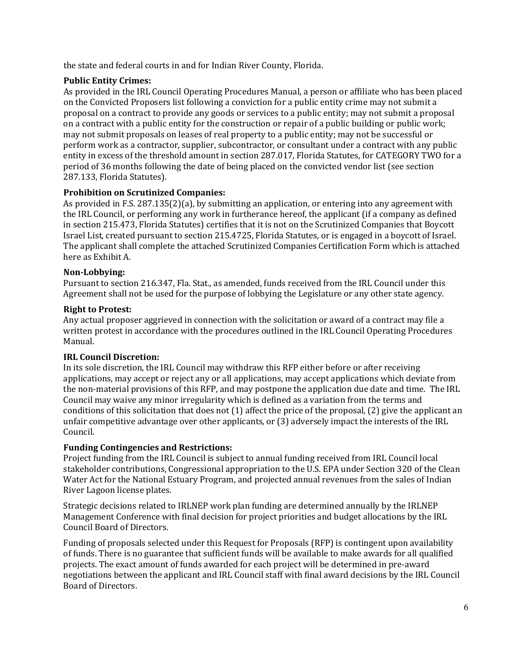the state and federal courts in and for Indian River County, Florida.

### **Public Entity Crimes:**

As provided in the IRL Council Operating Procedures Manual, a person or affiliate who has been placed on the Convicted Proposers list following a conviction for a public entity crime may not submit a proposal on a contract to provide any goods or services to a public entity; may not submit a proposal on a contract with a public entity for the construction or repair of a public building or public work; may not submit proposals on leases of real property to a public entity; may not be successful or perform work as a contractor, supplier, subcontractor, or consultant under a contract with any public entity in excess of the threshold amount in section 287.017, Florida Statutes, for CATEGORY TWO for a period of 36 months following the date of being placed on the convicted vendor list (see section 287.133, Florida Statutes).

### **Prohibition on Scrutinized Companies:**

As provided in F.S. 287.135(2)(a), by submitting an application, or entering into any agreement with the IRL Council, or performing any work in furtherance hereof, the applicant (if a company as defined in section 215.473, Florida Statutes) certifies that it is not on the Scrutinized Companies that Boycott Israel List, created pursuant to section 215.4725, Florida Statutes, or is engaged in a boycott of Israel. The applicant shall complete the attached Scrutinized Companies Certification Form which is attached here as Exhibit A.

### **Non-Lobbying:**

Pursuant to section 216.347, Fla. Stat., as amended, funds received from the IRL Council under this Agreement shall not be used for the purpose of lobbying the Legislature or any other state agency.

### **Right to Protest:**

Any actual proposer aggrieved in connection with the solicitation or award of a contract may file a written protest in accordance with the procedures outlined in the IRL Council Operating Procedures Manual.

### **IRL Council Discretion:**

In its sole discretion, the IRL Council may withdraw this RFP either before or after receiving applications, may accept or reject any or all applications, may accept applications which deviate from the non-material provisions of this RFP, and may postpone the application due date and time. The IRL Council may waive any minor irregularity which is defined as a variation from the terms and conditions of this solicitation that does not (1) affect the price of the proposal, (2) give the applicant an unfair competitive advantage over other applicants, or (3) adversely impact the interests of the IRL Council.

### **Funding Contingencies and Restrictions:**

Project funding from the IRL Council is subject to annual funding received from IRL Council local stakeholder contributions, Congressional appropriation to the U.S. EPA under Section 320 of the Clean Water Act for the National Estuary Program, and projected annual revenues from the sales of Indian River Lagoon license plates.

Strategic decisions related to IRLNEP work plan funding are determined annually by the IRLNEP Management Conference with final decision for project priorities and budget allocations by the IRL Council Board of Directors.

Funding of proposals selected under this Request for Proposals (RFP) is contingent upon availability of funds. There is no guarantee that sufficient funds will be available to make awards for all qualified projects. The exact amount of funds awarded for each project will be determined in pre-award negotiations between the applicant and IRL Council staff with final award decisions by the IRL Council Board of Directors.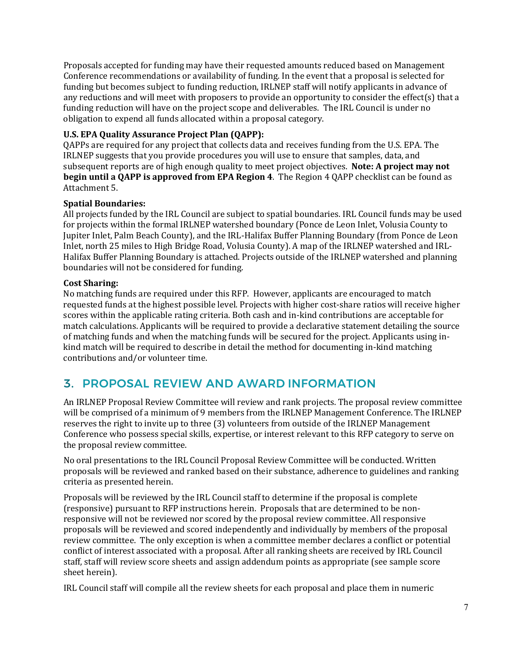Proposals accepted for funding may have their requested amounts reduced based on Management Conference recommendations or availability of funding. In the event that a proposal is selected for funding but becomes subject to funding reduction, IRLNEP staff will notify applicants in advance of any reductions and will meet with proposers to provide an opportunity to consider the effect(s) that a funding reduction will have on the project scope and deliverables. The IRL Council is under no obligation to expend all funds allocated within a proposal category.

### **U.S. EPA Quality Assurance Project Plan (QAPP):**

QAPPs are required for any project that collects data and receives funding from the U.S. EPA. The IRLNEP suggests that you provide procedures you will use to ensure that samples, data, and subsequent reports are of high enough quality to meet project objectives. **Note: A project may not begin until a QAPP is approved from EPA Region 4**. The Region 4 QAPP checklist can be found as Attachment 5.

### **Spatial Boundaries:**

All projects funded by the IRL Council are subject to spatial boundaries. IRL Council funds may be used for projects within the formal IRLNEP watershed boundary (Ponce de Leon Inlet, Volusia County to Jupiter Inlet, Palm Beach County), and the IRL-Halifax Buffer Planning Boundary (from Ponce de Leon Inlet, north 25 miles to High Bridge Road, Volusia County). A map of the IRLNEP watershed and IRL-Halifax Buffer Planning Boundary is attached. Projects outside of the IRLNEP watershed and planning boundaries will not be considered for funding.

### **Cost Sharing:**

No matching funds are required under this RFP. However, applicants are encouraged to match requested funds at the highest possible level. Projects with higher cost-share ratios will receive higher scores within the applicable rating criteria. Both cash and in-kind contributions are acceptable for match calculations. Applicants will be required to provide a declarative statement detailing the source of matching funds and when the matching funds will be secured for the project. Applicants using inkind match will be required to describe in detail the method for documenting in-kind matching contributions and/or volunteer time.

## 3. PROPOSAL REVIEW AND AWARD INFORMATION

An IRLNEP Proposal Review Committee will review and rank projects. The proposal review committee will be comprised of a minimum of 9 members from the IRLNEP Management Conference. The IRLNEP reserves the right to invite up to three (3) volunteers from outside of the IRLNEP Management Conference who possess special skills, expertise, or interest relevant to this RFP category to serve on the proposal review committee.

No oral presentations to the IRL Council Proposal Review Committee will be conducted. Written proposals will be reviewed and ranked based on their substance, adherence to guidelines and ranking criteria as presented herein.

Proposals will be reviewed by the IRL Council staff to determine if the proposal is complete (responsive) pursuant to RFP instructions herein. Proposals that are determined to be nonresponsive will not be reviewed nor scored by the proposal review committee. All responsive proposals will be reviewed and scored independently and individually by members of the proposal review committee. The only exception is when a committee member declares a conflict or potential conflict of interest associated with a proposal. After all ranking sheets are received by IRL Council staff, staff will review score sheets and assign addendum points as appropriate (see sample score sheet herein).

IRL Council staff will compile all the review sheets for each proposal and place them in numeric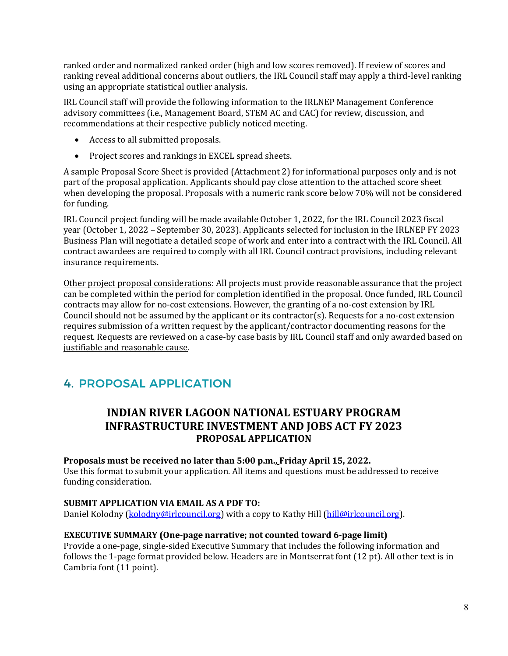ranked order and normalized ranked order (high and low scores removed). If review of scores and ranking reveal additional concerns about outliers, the IRL Council staff may apply a third-level ranking using an appropriate statistical outlier analysis.

IRL Council staff will provide the following information to the IRLNEP Management Conference advisory committees (i.e., Management Board, STEM AC and CAC) for review, discussion, and recommendations at their respective publicly noticed meeting.

- Access to all submitted proposals.
- Project scores and rankings in EXCEL spread sheets.

A sample Proposal Score Sheet is provided (Attachment 2) for informational purposes only and is not part of the proposal application. Applicants should pay close attention to the attached score sheet when developing the proposal. Proposals with a numeric rank score below 70% will not be considered for funding.

IRL Council project funding will be made available October 1, 2022, for the IRL Council 2023 fiscal year (October 1, 2022 – September 30, 2023). Applicants selected for inclusion in the IRLNEP FY 2023 Business Plan will negotiate a detailed scope of work and enter into a contract with the IRL Council. All contract awardees are required to comply with all IRL Council contract provisions, including relevant insurance requirements.

Other project proposal considerations: All projects must provide reasonable assurance that the project can be completed within the period for completion identified in the proposal. Once funded, IRL Council contracts may allow for no-cost extensions. However, the granting of a no-cost extension by IRL Council should not be assumed by the applicant or its contractor(s). Requests for a no-cost extension requires submission of a written request by the applicant/contractor documenting reasons for the request. Requests are reviewed on a case-by case basis by IRL Council staff and only awarded based on justifiable and reasonable cause.

# 4. PROPOSAL APPLICATION

### **INDIAN RIVER LAGOON NATIONAL ESTUARY PROGRAM INFRASTRUCTURE INVESTMENT AND JOBS ACT FY 2023 PROPOSAL APPLICATION**

### **Proposals must be received no later than 5:00 p.m., Friday April 15, 2022.**

Use this format to submit your application. All items and questions must be addressed to receive funding consideration.

### **SUBMIT APPLICATION VIA EMAIL AS A PDF TO:**

Daniel Kolodny (kolodny@irlcouncil.org) with a copy to Kathy Hill (hill@irlcouncil.org).

### **EXECUTIVE SUMMARY (One-page narrative; not counted toward 6-page limit)**

Provide a one-page, single-sided Executive Summary that includes the following information and follows the 1-page format provided below. Headers are in Montserrat font (12 pt). All other text is in Cambria font (11 point).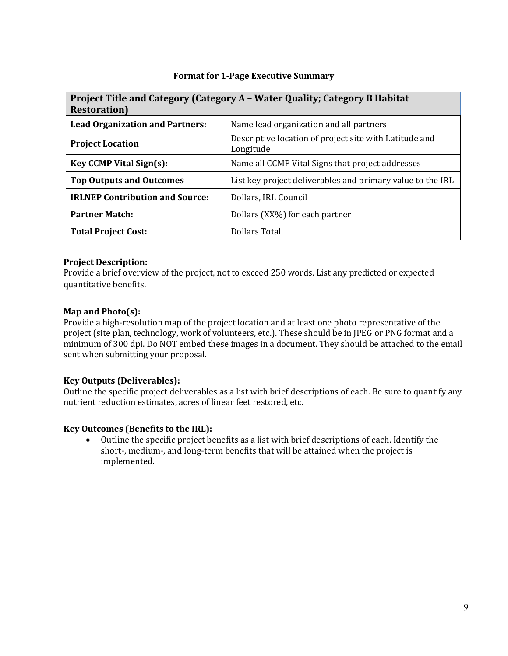### **Format for 1-Page Executive Summary**

| Project Title and Category (Category A - Water Quality; Category B Habitat<br><b>Restoration</b> ) |                                                                     |  |
|----------------------------------------------------------------------------------------------------|---------------------------------------------------------------------|--|
| <b>Lead Organization and Partners:</b>                                                             | Name lead organization and all partners                             |  |
| <b>Project Location</b>                                                                            | Descriptive location of project site with Latitude and<br>Longitude |  |
| <b>Key CCMP Vital Sign(s):</b>                                                                     | Name all CCMP Vital Signs that project addresses                    |  |
| <b>Top Outputs and Outcomes</b>                                                                    | List key project deliverables and primary value to the IRL          |  |
| <b>IRLNEP Contribution and Source:</b>                                                             | Dollars, IRL Council                                                |  |
| <b>Partner Match:</b>                                                                              | Dollars (XX%) for each partner                                      |  |
| <b>Total Project Cost:</b>                                                                         | Dollars Total                                                       |  |

### **Project Description:**

Provide a brief overview of the project, not to exceed 250 words. List any predicted or expected quantitative benefits.

### **Map and Photo(s):**

Provide a high-resolution map of the project location and at least one photo representative of the project (site plan, technology, work of volunteers, etc.). These should be in JPEG or PNG format and a minimum of 300 dpi. Do NOT embed these images in a document. They should be attached to the email sent when submitting your proposal.

### **Key Outputs (Deliverables):**

Outline the specific project deliverables as a list with brief descriptions of each. Be sure to quantify any nutrient reduction estimates, acres of linear feet restored, etc.

### **Key Outcomes (Benefits to the IRL):**

• Outline the specific project benefits as a list with brief descriptions of each. Identify the short-, medium-, and long-term benefits that will be attained when the project is implemented.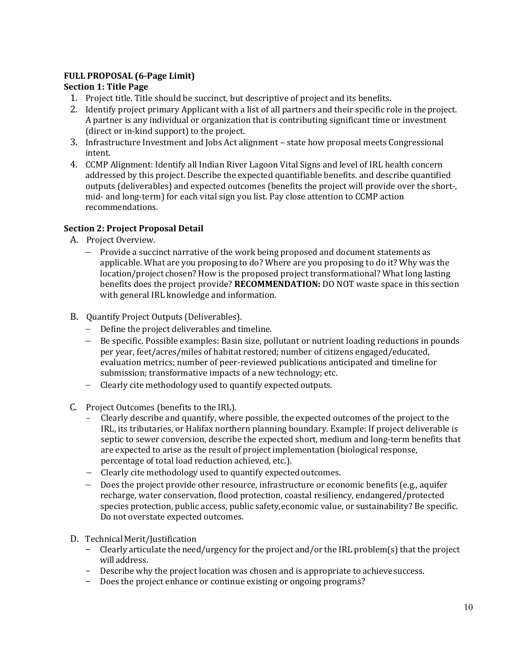### **FULL PROPOSAL (6-Page Limit)**

### **Section 1: Title Page**

- 1. Project title. Title should be succinct, but descriptive of project and its benefits.
- 2. Identify project primary Applicant with a list of all partners and their specific role in theproject. A partner is any individual or organization that is contributing significant time or investment (direct or in-kind support) to the project.
- 3. Infrastructure Investment and Jobs Act alignment state how proposal meets Congressional intent.
- 4. CCMP Alignment: Identify all Indian River Lagoon Vital Signs and level of IRL health concern addressed by this project. Describe the expected quantifiable benefits. and describe quantified outputs (deliverables) and expected outcomes (benefits the project will provide over the short-, mid- and long-term) for each vital sign you list. Pay close attention to CCMP action recommendations.

### **Section 2: Project Proposal Detail**

- A. Project Overview.
	- − Provide a succinct narrative of the work being proposed and document statements as applicable. What are you proposing to do? Where are you proposing to do it? Why was the location/project chosen? How is the proposed project transformational? What long lasting benefits does the project provide? **RECOMMENDATION:** DO NOT waste space in this section with general IRL knowledge and information.
- B. Quantify Project Outputs (Deliverables).
	- − Define the project deliverables and timeline.
	- − Be specific. Possible examples: Basin size, pollutant or nutrient loading reductions in pounds per year, feet/acres/miles of habitat restored; number of citizens engaged/educated, evaluation metrics; number of peer-reviewed publications anticipated and timeline for submission; transformative impacts of a new technology; etc.
	- Clearly cite methodology used to quantify expected outputs.
- C. Project Outcomes (benefits to the IRL).
	- Clearly describe and quantify, where possible, the expected outcomes of the project to the IRL, its tributaries, or Halifax northern planning boundary. Example: If project deliverable is septic to sewer conversion, describe the expected short, medium and long-term benefits that are expected to arise as the result of project implementation (biological response, percentage of total load reduction achieved, etc.).
	- − Clearly cite methodology used to quantify expectedoutcomes.
	- − Does the project provide other resource, infrastructure or economic benefits (e.g., aquifer recharge, water conservation, flood protection, coastal resiliency, endangered/protected species protection, public access, public safety,economic value, or sustainability? Be specific. Do not overstate expected outcomes.
- D. Technical Merit/Justification
	- Clearly articulate the need/urgency for the project and/or the IRL problem(s) that the project willaddress.
	- Describe why the project location was chosen and is appropriate to achieve success.
	- Does the project enhance or continue existing or ongoing programs?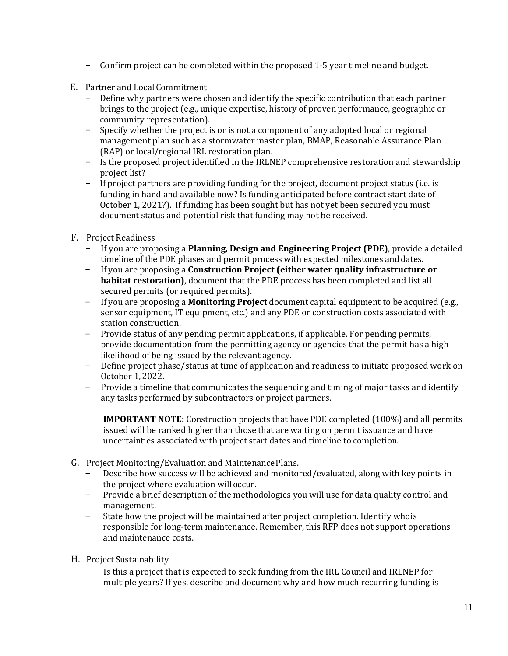- Confirm project can be completed within the proposed 1-5 year timeline and budget.
- E. Partner and Local Commitment
	- Define why partners were chosen and identify the specific contribution that each partner brings to the project (e.g., unique expertise, history of proven performance, geographic or community representation).
	- Specify whether the project is or is not a component of any adopted local or regional management plan such as a stormwater master plan, BMAP, Reasonable Assurance Plan (RAP) or local/regional IRL restoration plan.
	- Is the proposed project identified in the IRLNEP comprehensive restoration and stewardship project list?
	- If project partners are providing funding for the project, document project status (i.e. is funding in hand and available now? Is funding anticipated before contract start date of October 1, 2021?). If funding has been sought but has not yet been secured you must document status and potential risk that funding may not be received.
- F. Project Readiness
	- If you are proposing a **Planning, Design and Engineering Project (PDE)**, provide a detailed timeline of the PDE phases and permit process with expected milestones anddates.
	- If you are proposing a **Construction Project (either water quality infrastructure or habitat restoration)**, document that the PDE process has been completed and list all secured permits (or required permits).
	- If you are proposing a **Monitoring Project** document capital equipment to be acquired (e.g., sensor equipment, IT equipment, etc.) and any PDE or construction costs associated with station construction.
	- Provide status of any pending permit applications, if applicable. For pending permits, provide documentation from the permitting agency or agencies that the permit has a high likelihood of being issued by the relevant agency.
	- Define project phase/status at time of application and readiness to initiate proposed work on October 1, 2022.
	- Provide a timeline that communicates the sequencing and timing of major tasks and identify any tasks performed by subcontractors or project partners.

**IMPORTANT NOTE:** Construction projects that have PDE completed (100%) and all permits issued will be ranked higher than those that are waiting on permit issuance and have uncertainties associated with project start dates and timeline to completion.

- G. Project Monitoring/Evaluation and MaintenancePlans.
	- Describe how success will be achieved and monitored/evaluated, along with key points in the project where evaluation willoccur.
	- Provide a brief description of the methodologies you will use for data quality control and management.
	- State how the project will be maintained after project completion. Identify whois responsible for long-term maintenance. Remember, this RFP does not support operations and maintenance costs.
- H. Project Sustainability
	- Is this a project that is expected to seek funding from the IRL Council and IRLNEP for multiple years? If yes, describe and document why and how much recurring funding is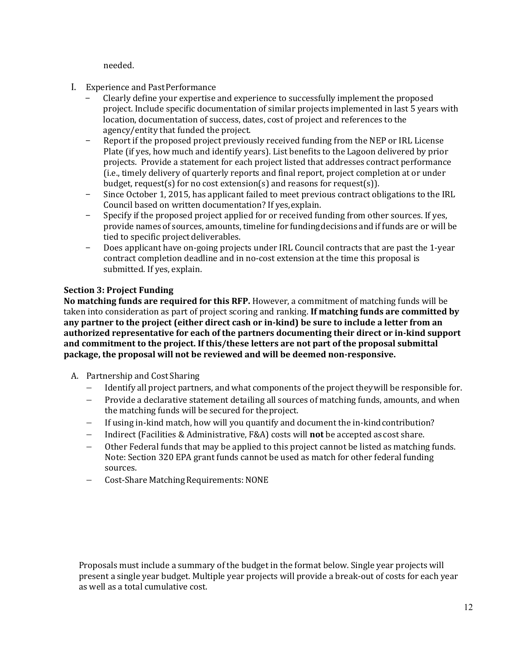needed.

- I. Experience and PastPerformance
	- Clearly define your expertise and experience to successfully implement the proposed project. Include specific documentation of similar projects implemented in last 5 years with location, documentation of success, dates, cost of project and references to the agency/entity that funded the project.
	- Report if the proposed project previously received funding from the NEP or IRL License Plate (if yes, how much and identify years). List benefits to the Lagoon delivered by prior projects. Provide a statement for each project listed that addresses contract performance (i.e., timely delivery of quarterly reports and final report, project completion at or under budget, request(s) for no cost extension(s) and reasons for request(s)).
	- Since October 1, 2015, has applicant failed to meet previous contract obligations to the IRL Council based on written documentation? If yes,explain.
	- Specify if the proposed project applied for or received funding from other sources. If yes, provide names of sources, amounts, timeline for fundingdecisions and if funds are or will be tied to specific project deliverables.
	- Does applicant have on-going projects under IRL Council contracts that are past the 1-year contract completion deadline and in no-cost extension at the time this proposal is submitted. If yes, explain.

### **Section 3: Project Funding**

**No matching funds are required for this RFP.** However, a commitment of matching funds will be taken into consideration as part of project scoring and ranking. **If matching funds are committed by any partner to the project (either direct cash or in-kind) be sure to include a letter from an authorized representative for each of the partners documenting their direct or in-kind support and commitment to the project. If this/these letters are not part of the proposal submittal package, the proposal will not be reviewed and will be deemed non-responsive.** 

- A. Partnership and Cost Sharing
	- − Identify all project partners, and what components of the project theywill be responsible for.
	- − Provide a declarative statement detailing all sources of matching funds, amounts, and when the matching funds will be secured for theproject.
	- If using in-kind match, how will you quantify and document the in-kind contribution?
	- − Indirect (Facilities & Administrative, F&A) costs will **not** be accepted ascost share.
	- Other Federal funds that may be applied to this project cannot be listed as matching funds. Note: Section 320 EPA grant funds cannot be used as match for other federal funding sources.
	- − Cost-Share MatchingRequirements: NONE

Proposals must include a summary of the budget in the format below. Single year projects will present a single year budget. Multiple year projects will provide a break-out of costs for each year as well as a total cumulative cost.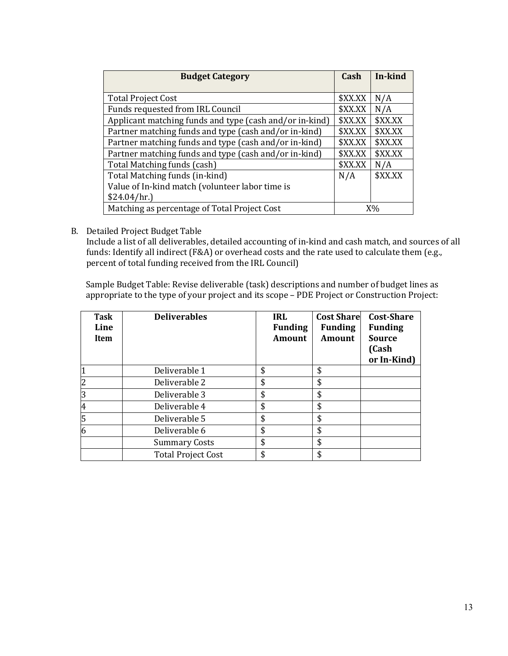| <b>Budget Category</b>                                  |         | In-kind |
|---------------------------------------------------------|---------|---------|
|                                                         |         |         |
| <b>Total Project Cost</b>                               | \$XX.XX | N/A     |
| Funds requested from IRL Council                        | \$XX.XX | N/A     |
| Applicant matching funds and type (cash and/or in-kind) | \$XX.XX | \$XX.XX |
| Partner matching funds and type (cash and/or in-kind)   | \$XX.XX | \$XX.XX |
| Partner matching funds and type (cash and/or in-kind)   | \$XX.XX | \$XX.XX |
| Partner matching funds and type (cash and/or in-kind)   | \$XX.XX | \$XX.XX |
| Total Matching funds (cash)                             | \$XX.XX | N/A     |
| Total Matching funds (in-kind)                          | N/A     | \$XX.XX |
| Value of In-kind match (volunteer labor time is         |         |         |
| \$24.04/hr.                                             |         |         |
| Matching as percentage of Total Project Cost            |         | $X\%$   |

B. Detailed Project Budget Table

Include a list of all deliverables, detailed accounting of in-kind and cash match, and sources of all funds: Identify all indirect (F&A) or overhead costs and the rate used to calculate them (e.g., percent of total funding received from the IRL Council)

Sample Budget Table: Revise deliverable (task) descriptions and number of budget lines as appropriate to the type of your project and its scope – PDE Project or Construction Project:

| Task<br>Line<br>Item | <b>Deliverables</b>       | <b>IRL</b><br><b>Funding</b><br><b>Amount</b> | <b>Cost Share</b><br><b>Funding</b><br><b>Amount</b> | <b>Cost-Share</b><br><b>Funding</b><br><b>Source</b><br>(Cash<br>or In-Kind) |
|----------------------|---------------------------|-----------------------------------------------|------------------------------------------------------|------------------------------------------------------------------------------|
|                      | Deliverable 1             | \$                                            | \$                                                   |                                                                              |
| $\overline{2}$       | Deliverable 2             | \$                                            | \$                                                   |                                                                              |
| $\overline{3}$       | Deliverable 3             | \$                                            | \$                                                   |                                                                              |
| $\overline{4}$       | Deliverable 4             | \$                                            | \$                                                   |                                                                              |
| 5                    | Deliverable 5             | \$                                            | \$                                                   |                                                                              |
| $\overline{6}$       | Deliverable 6             | \$                                            | \$                                                   |                                                                              |
|                      | <b>Summary Costs</b>      | \$                                            | \$                                                   |                                                                              |
|                      | <b>Total Project Cost</b> | \$                                            | \$                                                   |                                                                              |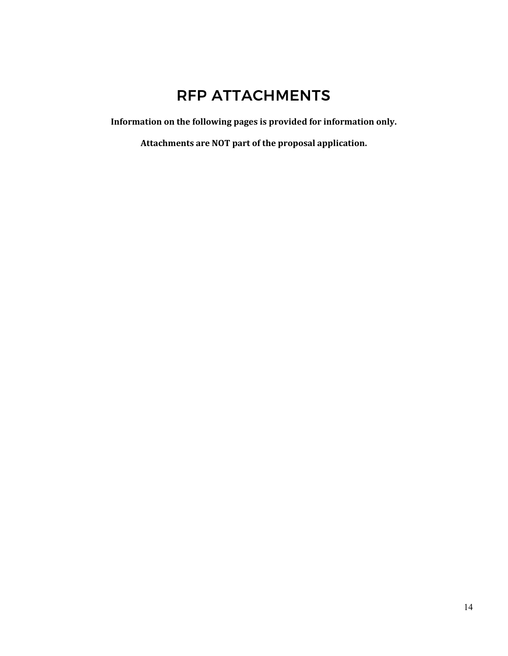# RFP ATTACHMENTS

**Information on the following pages is provided for information only.**

**Attachments are NOT part of the proposal application.**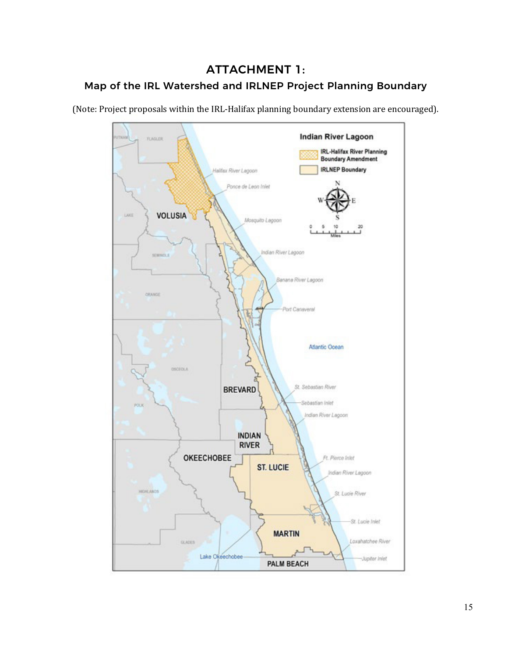# ATTACHMENT 1: Map of the IRL Watershed and IRLNEP Project Planning Boundary

(Note: Project proposals within the IRL-Halifax planning boundary extension are encouraged).

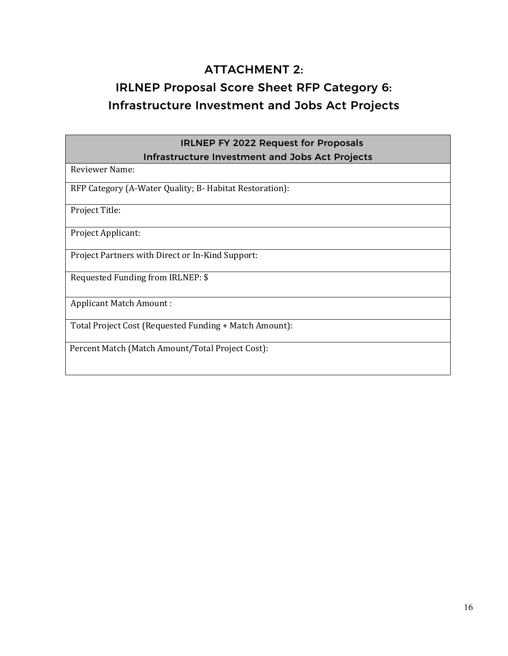# ATTACHMENT 2:

# IRLNEP Proposal Score Sheet RFP Category 6: Infrastructure Investment and Jobs Act Projects

| <b>IRLNEP FY 2022 Request for Proposals</b>             |
|---------------------------------------------------------|
| <b>Infrastructure Investment and Jobs Act Projects</b>  |
| Reviewer Name:                                          |
| RFP Category (A-Water Quality; B- Habitat Restoration): |
| Project Title:                                          |
| Project Applicant:                                      |
| Project Partners with Direct or In-Kind Support:        |
| Requested Funding from IRLNEP: \$                       |
| <b>Applicant Match Amount:</b>                          |
| Total Project Cost (Requested Funding + Match Amount):  |
| Percent Match (Match Amount/Total Project Cost):        |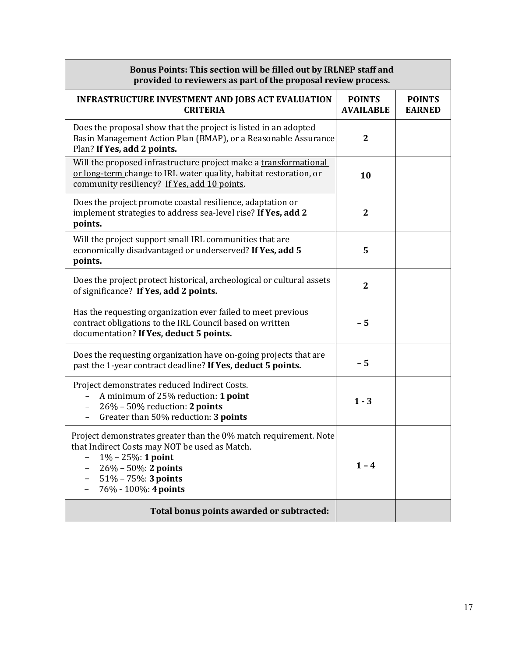| Bonus Points: This section will be filled out by IRLNEP staff and<br>provided to reviewers as part of the proposal review process.                                                                                          |                                   |                                |  |
|-----------------------------------------------------------------------------------------------------------------------------------------------------------------------------------------------------------------------------|-----------------------------------|--------------------------------|--|
| <b>INFRASTRUCTURE INVESTMENT AND JOBS ACT EVALUATION</b><br><b>CRITERIA</b>                                                                                                                                                 | <b>POINTS</b><br><b>AVAILABLE</b> | <b>POINTS</b><br><b>EARNED</b> |  |
| Does the proposal show that the project is listed in an adopted<br>Basin Management Action Plan (BMAP), or a Reasonable Assurance<br>Plan? If Yes, add 2 points.                                                            | $\overline{2}$                    |                                |  |
| Will the proposed infrastructure project make a transformational<br>or long-term change to IRL water quality, habitat restoration, or<br>community resiliency? If Yes, add 10 points.                                       | 10                                |                                |  |
| Does the project promote coastal resilience, adaptation or<br>implement strategies to address sea-level rise? If Yes, add 2<br>points.                                                                                      | $\overline{2}$                    |                                |  |
| Will the project support small IRL communities that are<br>economically disadvantaged or underserved? If Yes, add 5<br>points.                                                                                              | 5                                 |                                |  |
| Does the project protect historical, archeological or cultural assets<br>of significance? If Yes, add 2 points.                                                                                                             | $\mathbf{2}$                      |                                |  |
| Has the requesting organization ever failed to meet previous<br>contract obligations to the IRL Council based on written<br>documentation? If Yes, deduct 5 points.                                                         | $-5$                              |                                |  |
| Does the requesting organization have on-going projects that are<br>past the 1-year contract deadline? If Yes, deduct 5 points.                                                                                             | $-5$                              |                                |  |
| Project demonstrates reduced Indirect Costs.<br>A minimum of 25% reduction: 1 point<br>26% - 50% reduction: 2 points<br>Greater than 50% reduction: 3 points                                                                | $1 - 3$                           |                                |  |
| Project demonstrates greater than the 0% match requirement. Note<br>that Indirect Costs may NOT be used as Match.<br>$1\% - 25\%$ : 1 point<br>$26\% - 50\%$ : 2 points<br>$51\% - 75\%$ : 3 points<br>76% - 100%: 4 points | $1 - 4$                           |                                |  |
| Total bonus points awarded or subtracted:                                                                                                                                                                                   |                                   |                                |  |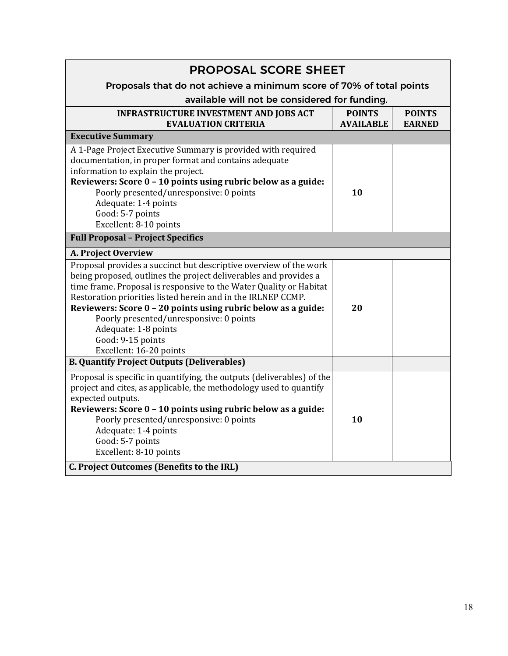| <b>PROPOSAL SCORE SHEET</b>                                                                                                                                                                                                                                                                                                                                                                                                                                     |                                   |                                |  |
|-----------------------------------------------------------------------------------------------------------------------------------------------------------------------------------------------------------------------------------------------------------------------------------------------------------------------------------------------------------------------------------------------------------------------------------------------------------------|-----------------------------------|--------------------------------|--|
| Proposals that do not achieve a minimum score of 70% of total points                                                                                                                                                                                                                                                                                                                                                                                            |                                   |                                |  |
| available will not be considered for funding.                                                                                                                                                                                                                                                                                                                                                                                                                   |                                   |                                |  |
| <b>INFRASTRUCTURE INVESTMENT AND JOBS ACT</b><br><b>EVALUATION CRITERIA</b>                                                                                                                                                                                                                                                                                                                                                                                     | <b>POINTS</b><br><b>AVAILABLE</b> | <b>POINTS</b><br><b>EARNED</b> |  |
| <b>Executive Summary</b>                                                                                                                                                                                                                                                                                                                                                                                                                                        |                                   |                                |  |
| A 1-Page Project Executive Summary is provided with required<br>documentation, in proper format and contains adequate<br>information to explain the project.<br>Reviewers: Score 0 - 10 points using rubric below as a guide:<br>Poorly presented/unresponsive: 0 points                                                                                                                                                                                        | 10                                |                                |  |
| Adequate: 1-4 points<br>Good: 5-7 points                                                                                                                                                                                                                                                                                                                                                                                                                        |                                   |                                |  |
| Excellent: 8-10 points                                                                                                                                                                                                                                                                                                                                                                                                                                          |                                   |                                |  |
| <b>Full Proposal - Project Specifics</b>                                                                                                                                                                                                                                                                                                                                                                                                                        |                                   |                                |  |
| A. Project Overview                                                                                                                                                                                                                                                                                                                                                                                                                                             |                                   |                                |  |
| Proposal provides a succinct but descriptive overview of the work<br>being proposed, outlines the project deliverables and provides a<br>time frame. Proposal is responsive to the Water Quality or Habitat<br>Restoration priorities listed herein and in the IRLNEP CCMP.<br>Reviewers: Score 0 - 20 points using rubric below as a guide:<br>Poorly presented/unresponsive: 0 points<br>Adequate: 1-8 points<br>Good: 9-15 points<br>Excellent: 16-20 points | 20                                |                                |  |
| <b>B. Quantify Project Outputs (Deliverables)</b>                                                                                                                                                                                                                                                                                                                                                                                                               |                                   |                                |  |
| Proposal is specific in quantifying, the outputs (deliverables) of the<br>project and cites, as applicable, the methodology used to quantify<br>expected outputs.<br>Reviewers: Score 0 - 10 points using rubric below as a guide:<br>Poorly presented/unresponsive: 0 points<br>Adequate: 1-4 points<br>Good: 5-7 points<br>Excellent: 8-10 points                                                                                                             | 10                                |                                |  |
| <b>C. Project Outcomes (Benefits to the IRL)</b>                                                                                                                                                                                                                                                                                                                                                                                                                |                                   |                                |  |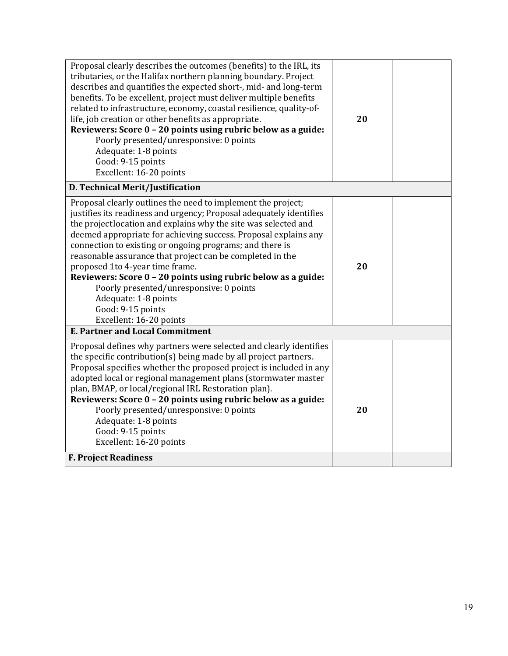| Proposal clearly describes the outcomes (benefits) to the IRL, its<br>tributaries, or the Halifax northern planning boundary. Project<br>describes and quantifies the expected short-, mid- and long-term<br>benefits. To be excellent, project must deliver multiple benefits<br>related to infrastructure, economy, coastal resilience, quality-of-<br>life, job creation or other benefits as appropriate.<br>Reviewers: Score 0 - 20 points using rubric below as a guide:<br>Poorly presented/unresponsive: 0 points<br>Adequate: 1-8 points<br>Good: 9-15 points<br>Excellent: 16-20 points                        | 20 |  |
|--------------------------------------------------------------------------------------------------------------------------------------------------------------------------------------------------------------------------------------------------------------------------------------------------------------------------------------------------------------------------------------------------------------------------------------------------------------------------------------------------------------------------------------------------------------------------------------------------------------------------|----|--|
| D. Technical Merit/Justification                                                                                                                                                                                                                                                                                                                                                                                                                                                                                                                                                                                         |    |  |
| Proposal clearly outlines the need to implement the project;<br>justifies its readiness and urgency; Proposal adequately identifies<br>the projectlocation and explains why the site was selected and<br>deemed appropriate for achieving success. Proposal explains any<br>connection to existing or ongoing programs; and there is<br>reasonable assurance that project can be completed in the<br>proposed 1to 4-year time frame.<br>Reviewers: Score 0 - 20 points using rubric below as a guide:<br>Poorly presented/unresponsive: 0 points<br>Adequate: 1-8 points<br>Good: 9-15 points<br>Excellent: 16-20 points | 20 |  |
| <b>E. Partner and Local Commitment</b>                                                                                                                                                                                                                                                                                                                                                                                                                                                                                                                                                                                   |    |  |
| Proposal defines why partners were selected and clearly identifies<br>the specific contribution(s) being made by all project partners.<br>Proposal specifies whether the proposed project is included in any<br>adopted local or regional management plans (stormwater master<br>plan, BMAP, or local/regional IRL Restoration plan).<br>Reviewers: Score 0 - 20 points using rubric below as a guide:<br>Poorly presented/unresponsive: 0 points<br>Adequate: 1-8 points<br>Good: 9-15 points<br>Excellent: 16-20 points                                                                                                | 20 |  |
| <b>F. Project Readiness</b>                                                                                                                                                                                                                                                                                                                                                                                                                                                                                                                                                                                              |    |  |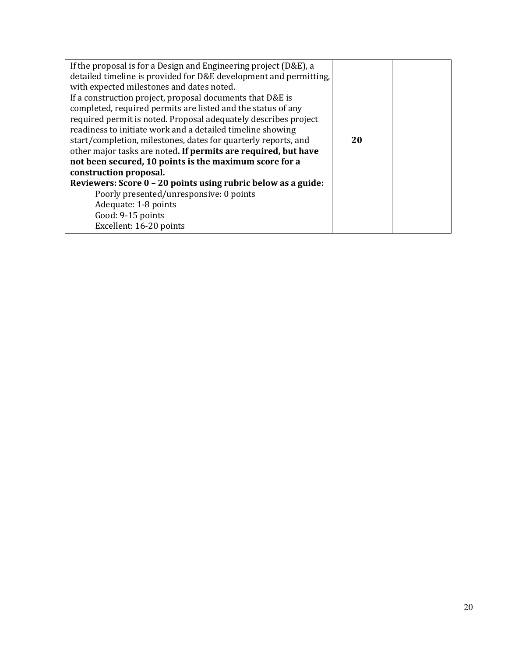| If the proposal is for a Design and Engineering project (D&E), a  |    |  |
|-------------------------------------------------------------------|----|--|
| detailed timeline is provided for D&E development and permitting, |    |  |
| with expected milestones and dates noted.                         |    |  |
| If a construction project, proposal documents that D&E is         |    |  |
| completed, required permits are listed and the status of any      |    |  |
| required permit is noted. Proposal adequately describes project   |    |  |
| readiness to initiate work and a detailed timeline showing        |    |  |
| start/completion, milestones, dates for quarterly reports, and    | 20 |  |
| other major tasks are noted. If permits are required, but have    |    |  |
| not been secured, 10 points is the maximum score for a            |    |  |
| construction proposal.                                            |    |  |
| Reviewers: Score 0 - 20 points using rubric below as a guide:     |    |  |
| Poorly presented/unresponsive: 0 points                           |    |  |
| Adequate: 1-8 points                                              |    |  |
| Good: 9-15 points                                                 |    |  |
| Excellent: 16-20 points                                           |    |  |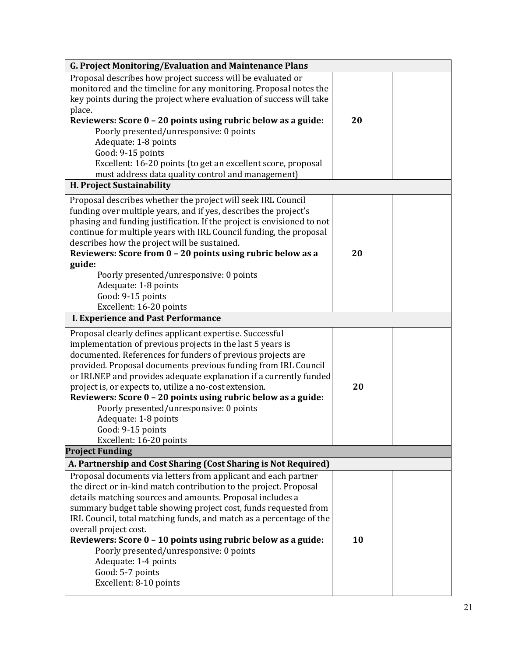| <b>G. Project Monitoring/Evaluation and Maintenance Plans</b>          |    |  |  |
|------------------------------------------------------------------------|----|--|--|
| Proposal describes how project success will be evaluated or            |    |  |  |
| monitored and the timeline for any monitoring. Proposal notes the      |    |  |  |
| key points during the project where evaluation of success will take    |    |  |  |
| place.                                                                 |    |  |  |
| Reviewers: Score 0 - 20 points using rubric below as a guide:          | 20 |  |  |
| Poorly presented/unresponsive: 0 points                                |    |  |  |
| Adequate: 1-8 points                                                   |    |  |  |
| Good: 9-15 points                                                      |    |  |  |
| Excellent: 16-20 points (to get an excellent score, proposal           |    |  |  |
| must address data quality control and management)                      |    |  |  |
| H. Project Sustainability                                              |    |  |  |
| Proposal describes whether the project will seek IRL Council           |    |  |  |
| funding over multiple years, and if yes, describes the project's       |    |  |  |
| phasing and funding justification. If the project is envisioned to not |    |  |  |
| continue for multiple years with IRL Council funding, the proposal     |    |  |  |
| describes how the project will be sustained.                           |    |  |  |
| Reviewers: Score from 0 - 20 points using rubric below as a            | 20 |  |  |
| guide:                                                                 |    |  |  |
| Poorly presented/unresponsive: 0 points                                |    |  |  |
| Adequate: 1-8 points                                                   |    |  |  |
| Good: 9-15 points                                                      |    |  |  |
| Excellent: 16-20 points                                                |    |  |  |
| <b>I. Experience and Past Performance</b>                              |    |  |  |
| Proposal clearly defines applicant expertise. Successful               |    |  |  |
| implementation of previous projects in the last 5 years is             |    |  |  |
| documented. References for funders of previous projects are            |    |  |  |
| provided. Proposal documents previous funding from IRL Council         |    |  |  |
| or IRLNEP and provides adequate explanation if a currently funded      |    |  |  |
| project is, or expects to, utilize a no-cost extension.                | 20 |  |  |
| Reviewers: Score 0 - 20 points using rubric below as a guide:          |    |  |  |
| Poorly presented/unresponsive: 0 points                                |    |  |  |
| Adequate: 1-8 points                                                   |    |  |  |
| Good: 9-15 points                                                      |    |  |  |
| Excellent: 16-20 points                                                |    |  |  |
| <b>Project Funding</b>                                                 |    |  |  |
| A. Partnership and Cost Sharing (Cost Sharing is Not Required)         |    |  |  |
| Proposal documents via letters from applicant and each partner         |    |  |  |
| the direct or in-kind match contribution to the project. Proposal      |    |  |  |
| details matching sources and amounts. Proposal includes a              |    |  |  |
| summary budget table showing project cost, funds requested from        |    |  |  |
| IRL Council, total matching funds, and match as a percentage of the    |    |  |  |
| overall project cost.                                                  |    |  |  |
| Reviewers: Score 0 - 10 points using rubric below as a guide:          | 10 |  |  |
| Poorly presented/unresponsive: 0 points                                |    |  |  |
| Adequate: 1-4 points                                                   |    |  |  |
| Good: 5-7 points                                                       |    |  |  |
| Excellent: 8-10 points                                                 |    |  |  |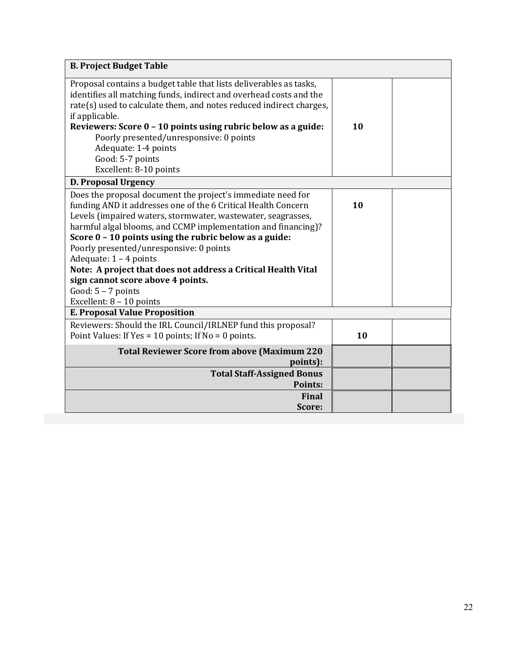| <b>B. Project Budget Table</b>                                                                                                                                                                                                                                                                                                                                                                                                                                                                                                                             |    |  |
|------------------------------------------------------------------------------------------------------------------------------------------------------------------------------------------------------------------------------------------------------------------------------------------------------------------------------------------------------------------------------------------------------------------------------------------------------------------------------------------------------------------------------------------------------------|----|--|
| Proposal contains a budget table that lists deliverables as tasks,<br>identifies all matching funds, indirect and overhead costs and the<br>rate(s) used to calculate them, and notes reduced indirect charges,<br>if applicable.<br>Reviewers: Score 0 - 10 points using rubric below as a guide:<br>Poorly presented/unresponsive: 0 points<br>Adequate: 1-4 points<br>Good: 5-7 points                                                                                                                                                                  | 10 |  |
| Excellent: 8-10 points                                                                                                                                                                                                                                                                                                                                                                                                                                                                                                                                     |    |  |
| <b>D. Proposal Urgency</b>                                                                                                                                                                                                                                                                                                                                                                                                                                                                                                                                 |    |  |
| Does the proposal document the project's immediate need for<br>funding AND it addresses one of the 6 Critical Health Concern<br>Levels (impaired waters, stormwater, wastewater, seagrasses,<br>harmful algal blooms, and CCMP implementation and financing)?<br>Score $0 - 10$ points using the rubric below as a guide:<br>Poorly presented/unresponsive: 0 points<br>Adequate: $1 - 4$ points<br>Note: A project that does not address a Critical Health Vital<br>sign cannot score above 4 points.<br>Good: $5 - 7$ points<br>Excellent: 8 - 10 points | 10 |  |
| <b>E. Proposal Value Proposition</b>                                                                                                                                                                                                                                                                                                                                                                                                                                                                                                                       |    |  |
| Reviewers: Should the IRL Council/IRLNEP fund this proposal?<br>Point Values: If Yes = 10 points; If No = 0 points.                                                                                                                                                                                                                                                                                                                                                                                                                                        | 10 |  |
| <b>Total Reviewer Score from above (Maximum 220</b><br>points):                                                                                                                                                                                                                                                                                                                                                                                                                                                                                            |    |  |
| <b>Total Staff-Assigned Bonus</b><br>Points:                                                                                                                                                                                                                                                                                                                                                                                                                                                                                                               |    |  |
| Final<br>Score:                                                                                                                                                                                                                                                                                                                                                                                                                                                                                                                                            |    |  |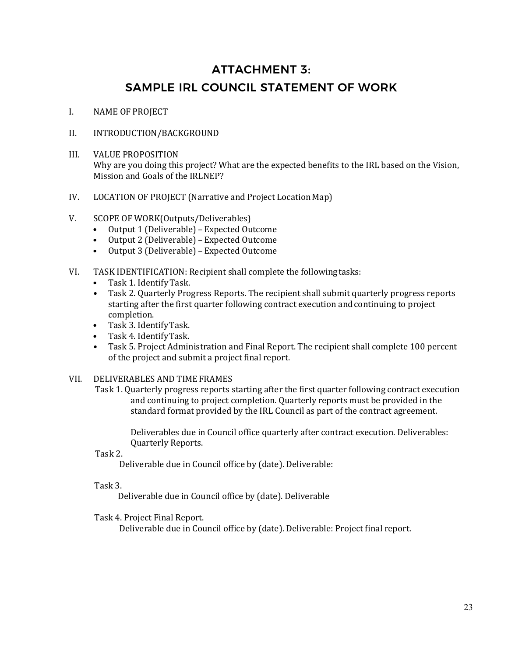# ATTACHMENT 3: SAMPLE IRL COUNCIL STATEMENT OF WORK

- I. NAME OF PROJECT
- II. INTRODUCTION/BACKGROUND
- III. VALUE PROPOSITION Why are you doing this project? What are the expected benefits to the IRL based on the Vision, Mission and Goals of the IRLNEP?
- IV. LOCATION OF PROJECT (Narrative and Project Location Map)
- V. SCOPE OF WORK(Outputs/Deliverables)
	- Output 1 (Deliverable) –Expected Outcome
	- Output 2 (Deliverable) Expected Outcome<br>• Output 3 (Deliverable) Expected Outcome
	- Output 3 (Deliverable) –Expected Outcome
- VI. TASK IDENTIFICATION: Recipient shall complete the followingtasks:
	- Task 1. Identify Task.<br>• Task 2. Quarterly Prog
	- Task 2. Quarterly Progress Reports. The recipient shall submit quarterly progress reports starting after the first quarter following contract execution andcontinuing to project completion.
	- Task 3. IdentifyTask.
	- Task 4. IdentifyTask.
	- Task 5. Project Administration and Final Report. The recipient shall complete 100 percent of the project and submit a project final report.

### VII. DELIVERABLES AND TIMEFRAMES

Task 1. Quarterly progress reports starting after the first quarter following contract execution and continuing to project completion. Quarterly reports must be provided in the standard format provided by the IRL Council as part of the contract agreement.

Deliverables due in Council office quarterly after contract execution. Deliverables: Quarterly Reports.

Task 2.

Deliverable due in Council office by (date). Deliverable:

### Task 3.

Deliverable due in Council office by (date). Deliverable

Task 4. Project Final Report.

Deliverable due in Council office by (date). Deliverable: Project final report.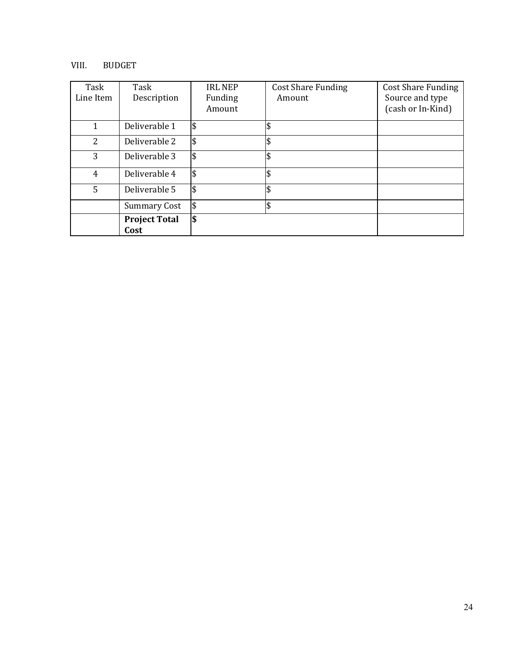### VIII. BUDGET

| Task<br>Line Item | Task<br>Description          | <b>IRL NEP</b><br>Funding<br>Amount | <b>Cost Share Funding</b><br>Amount | <b>Cost Share Funding</b><br>Source and type<br>(cash or In-Kind) |
|-------------------|------------------------------|-------------------------------------|-------------------------------------|-------------------------------------------------------------------|
| $\mathbf{1}$      | Deliverable 1                | \$                                  |                                     |                                                                   |
| 2                 | Deliverable 2                | \$                                  |                                     |                                                                   |
| 3                 | Deliverable 3                | \$                                  |                                     |                                                                   |
| 4                 | Deliverable 4                | \$                                  |                                     |                                                                   |
| 5                 | Deliverable 5                | l\$                                 |                                     |                                                                   |
|                   | <b>Summary Cost</b>          | \$                                  |                                     |                                                                   |
|                   | <b>Project Total</b><br>Cost | \$                                  |                                     |                                                                   |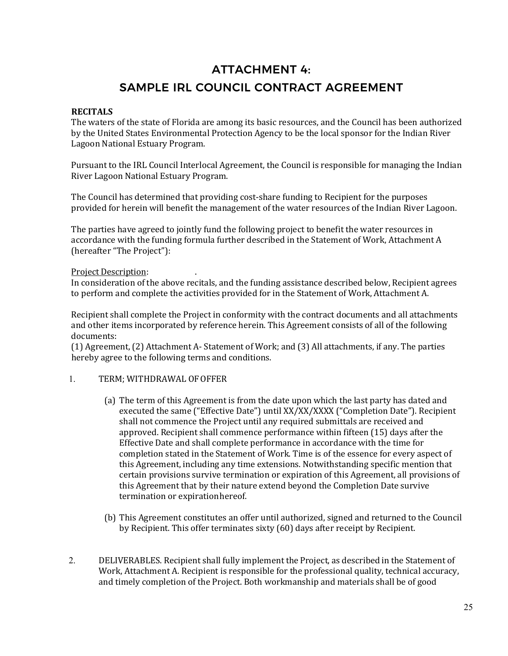# ATTACHMENT 4: SAMPLE IRL COUNCIL CONTRACT AGREEMENT

### **RECITALS**

The waters of the state of Florida are among its basic resources, and the Council has been authorized by the United States Environmental Protection Agency to be the local sponsor for the Indian River Lagoon National Estuary Program.

Pursuant to the IRL Council Interlocal Agreement, the Council is responsible for managing the Indian River Lagoon National Estuary Program.

The Council has determined that providing cost-share funding to Recipient for the purposes provided for herein will benefit the management of the water resources of the Indian River Lagoon.

The parties have agreed to jointly fund the following project to benefit the water resources in accordance with the funding formula further described in the Statement of Work, Attachment A (hereafter "The Project"):

### Project Description: .

In consideration of the above recitals, and the funding assistance described below, Recipient agrees to perform and complete the activities provided for in the Statement of Work, Attachment A.

Recipient shall complete the Project in conformity with the contract documents and all attachments and other items incorporated by reference herein. This Agreement consists of all of the following documents:

(1) Agreement, (2) Attachment A- Statement of Work; and (3) All attachments, if any. The parties hereby agree to the following terms and conditions.

### 1. TERM; WITHDRAWAL OFOFFER

- (a) The term of this Agreement is from the date upon which the last party has dated and executed the same ("Effective Date") until XX/XX/XXXX ("Completion Date"). Recipient shall not commence the Project until any required submittals are received and approved. Recipient shall commence performance within fifteen (15) days after the Effective Date and shall complete performance in accordance with the time for completion stated in the Statement of Work. Time is of the essence for every aspect of this Agreement, including any time extensions. Notwithstanding specific mention that certain provisions survive termination or expiration of this Agreement, all provisions of this Agreement that by their nature extend beyond the Completion Date survive termination or expirationhereof.
- (b) This Agreement constitutes an offer until authorized, signed and returned to the Council by Recipient. This offer terminates sixty (60) days after receipt by Recipient.
- 2. DELIVERABLES. Recipient shall fully implement the Project, as described in the Statement of Work, Attachment A. Recipient is responsible for the professional quality, technical accuracy, and timely completion of the Project. Both workmanship and materials shall be of good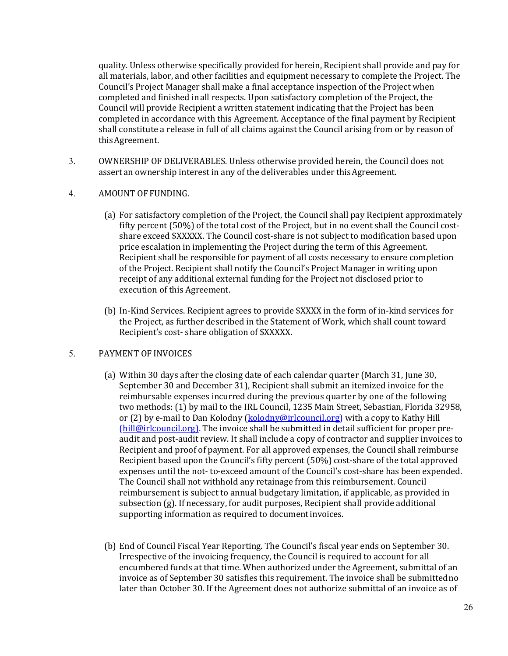quality. Unless otherwise specifically provided for herein, Recipient shall provide and pay for all materials, labor, and other facilities and equipment necessary to complete the Project. The Council's Project Manager shall make a final acceptance inspection of the Project when completed and finished inall respects. Upon satisfactory completion of the Project, the Council will provide Recipient a written statement indicating that the Project has been completed in accordance with this Agreement. Acceptance of the final payment by Recipient shall constitute a release in full of all claims against the Council arising from or by reason of thisAgreement.

3. OWNERSHIP OF DELIVERABLES. Unless otherwise provided herein, the Council does not assert an ownership interest in any of the deliverables under thisAgreement.

### 4. AMOUNT OF FUNDING.

- (a) For satisfactory completion of the Project, the Council shall pay Recipient approximately fifty percent (50%) of the total cost of the Project, but in no event shall the Council costshare exceed \$XXXXX. The Council cost-share is not subject to modification based upon price escalation in implementing the Project during the term of this Agreement. Recipient shall be responsible for payment of all costs necessary to ensure completion of the Project. Recipient shall notify the Council's Project Manager in writing upon receipt of any additional external funding for the Project not disclosed prior to execution of this Agreement.
- (b) In-Kind Services. Recipient agrees to provide \$XXXX in the form of in-kind services for the Project, as further described in the Statement of Work, which shall count toward Recipient's cost- share obligation of \$XXXXX.

### 5. PAYMENT OF INVOICES

- (a) Within 30 days after the closing date of each calendar quarter (March 31, June 30, September 30 and December 31), Recipient shall submit an itemized invoice for the reimbursable expenses incurred during the previous quarter by one of the following two methods: (1) by mail to the IRL Council, 1235 Main Street, Sebastian, Florida 32958, or (2) by e-mail to Dan Kolodny (kolodny@irlcouncil.org) with a copy to Kathy Hill (hill@irlcouncil.org). The invoice shall be submitted in detail sufficient for proper preaudit and post-audit review. It shall include a copy of contractor and supplier invoices to Recipient and proof of payment. For all approved expenses, the Council shall reimburse Recipient based upon the Council's fifty percent (50%) cost-share of the total approved expenses until the not- to-exceed amount of the Council's cost-share has been expended. The Council shall not withhold any retainage from this reimbursement. Council reimbursement is subject to annual budgetary limitation, if applicable, as provided in subsection (g). If necessary, for audit purposes, Recipient shall provide additional supporting information as required to documentinvoices.
- (b) End of Council Fiscal Year Reporting. The Council's fiscal year ends on September 30. Irrespective of the invoicing frequency, the Council is required to account for all encumbered funds at that time. When authorized under the Agreement, submittal of an invoice as of September 30 satisfies this requirement. The invoice shall be submittedno later than October 30. If the Agreement does not authorize submittal of an invoice as of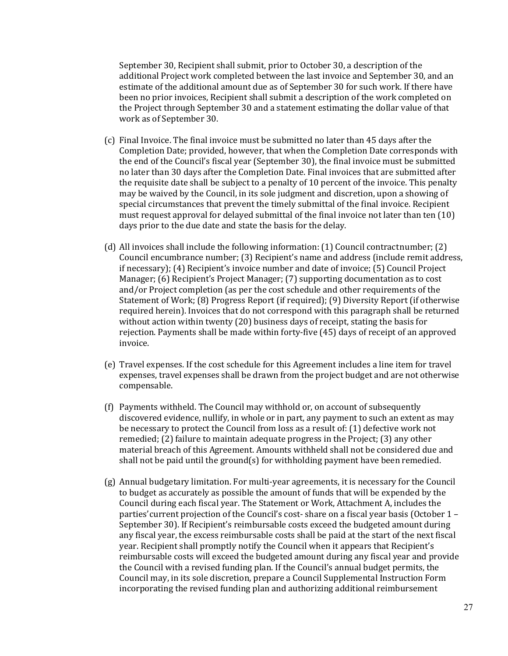September 30, Recipient shall submit, prior to October 30, a description of the additional Project work completed between the last invoice and September 30, and an estimate of the additional amount due as of September 30 for such work. If there have been no prior invoices, Recipient shall submit a description of the work completed on the Project through September 30 and a statement estimating the dollar value of that work as of September 30.

- (c) Final Invoice. The final invoice must be submitted no later than 45 days after the Completion Date; provided, however, that when the Completion Date corresponds with the end of the Council's fiscal year (September 30), the final invoice must be submitted no later than 30 days after the Completion Date. Final invoices that are submitted after the requisite date shall be subject to a penalty of 10 percent of the invoice. This penalty may be waived by the Council, in its sole judgment and discretion, upon a showing of special circumstances that prevent the timely submittal of the final invoice. Recipient must request approval for delayed submittal of the final invoice not later than ten (10) days prior to the due date and state the basis for the delay.
- (d) All invoices shall include the following information: (1) Council contractnumber; (2) Council encumbrance number; (3) Recipient's name and address (include remit address, if necessary); (4) Recipient's invoice number and date of invoice; (5) Council Project Manager; (6) Recipient's Project Manager; (7) supporting documentation as to cost and/or Project completion (as per the cost schedule and other requirements of the Statement of Work; (8) Progress Report (if required); (9) Diversity Report (if otherwise required herein). Invoices that do not correspond with this paragraph shall be returned without action within twenty (20) business days of receipt, stating the basis for rejection. Payments shall be made within forty-five (45) days of receipt of an approved invoice.
- (e) Travel expenses. If the cost schedule for this Agreement includes a line item for travel expenses, travel expenses shall be drawn from the project budget and are not otherwise compensable.
- (f) Payments withheld. The Council may withhold or, on account of subsequently discovered evidence, nullify, in whole or in part, any payment to such an extent as may be necessary to protect the Council from loss as a result of: (1) defective work not remedied; (2) failure to maintain adequate progress in the Project; (3) any other material breach of this Agreement. Amounts withheld shall not be considered due and shall not be paid until the ground(s) for withholding payment have been remedied.
- (g) Annual budgetary limitation. For multi-year agreements, it is necessary for the Council to budget as accurately as possible the amount of funds that will be expended by the Council during each fiscal year. The Statement or Work, Attachment A, includes the parties'current projection of the Council's cost- share on a fiscal year basis (October 1 – September 30). If Recipient's reimbursable costs exceed the budgeted amount during any fiscal year, the excess reimbursable costs shall be paid at the start of the next fiscal year. Recipient shall promptly notify the Council when it appears that Recipient's reimbursable costs will exceed the budgeted amount during any fiscal year and provide the Council with a revised funding plan. If the Council's annual budget permits, the Council may, in its sole discretion, prepare a Council Supplemental Instruction Form incorporating the revised funding plan and authorizing additional reimbursement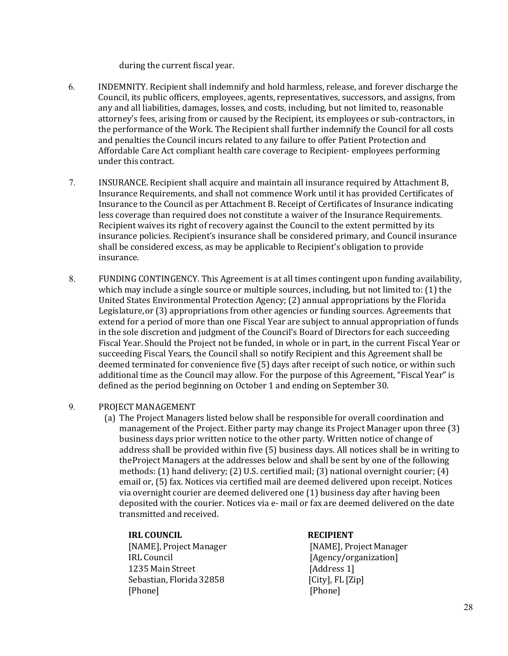during the current fiscal year.

- 6. INDEMNITY. Recipient shall indemnify and hold harmless, release, and forever discharge the Council, its public officers, employees, agents, representatives, successors, and assigns, from any and all liabilities, damages, losses, and costs, including, but not limited to, reasonable attorney's fees, arising from or caused by the Recipient, its employees or sub-contractors, in the performance of the Work. The Recipient shall further indemnify the Council for all costs and penalties the Council incurs related to any failure to offer Patient Protection and Affordable Care Act compliant health care coverage to Recipient- employees performing under this contract.
- 7. INSURANCE. Recipient shall acquire and maintain all insurance required by Attachment B, Insurance Requirements, and shall not commence Work until it has provided Certificates of Insurance to the Council as per Attachment B. Receipt of Certificates of Insurance indicating less coverage than required does not constitute a waiver of the Insurance Requirements. Recipient waives its right of recovery against the Council to the extent permitted by its insurance policies. Recipient's insurance shall be considered primary, and Council insurance shall be considered excess, as may be applicable to Recipient's obligation to provide insurance.
- 8. FUNDING CONTINGENCY. This Agreement is at all times contingent upon funding availability, which may include a single source or multiple sources, including, but not limited to: (1) the United States Environmental Protection Agency; (2) annual appropriations by the Florida Legislature,or (3) appropriations from other agencies or funding sources. Agreements that extend for a period of more than one Fiscal Year are subject to annual appropriation of funds in the sole discretion and judgment of the Council's Board of Directors for each succeeding Fiscal Year. Should the Project not be funded, in whole or in part, in the current Fiscal Year or succeeding Fiscal Years, the Council shall so notify Recipient and this Agreement shall be deemed terminated for convenience five (5) days after receipt of such notice, or within such additional time as the Council may allow. For the purpose of this Agreement, "Fiscal Year" is defined as the period beginning on October 1 and ending on September30.

### 9. PROJECT MANAGEMENT

(a) The Project Managers listed below shall be responsible for overall coordination and management of the Project. Either party may change its Project Manager upon three (3) business days prior written notice to the other party. Written notice of change of address shall be provided within five (5) business days. All notices shall be in writing to theProject Managers at the addresses below and shall be sent by one of the following methods: (1) hand delivery; (2) U.S. certified mail; (3) national overnight courier; (4) email or, (5) fax. Notices via certified mail are deemed delivered upon receipt. Notices via overnight courier are deemed delivered one (1) business day after having been deposited with the courier. Notices via e- mail or fax are deemed delivered on the date transmitted and received.

### **IRL COUNCIL RECIPIENT**

1235 Main Street [Address 1]<br>Sebastian, Florida 32858 [City], FL [Zip] Sebastian, Florida 32858 [City], FI]<br>[Phone] [Phone] [Phone] [Phone]

[NAME], Project Manager [NAME], Project Manager [Agency/organization]<br>[Address 1]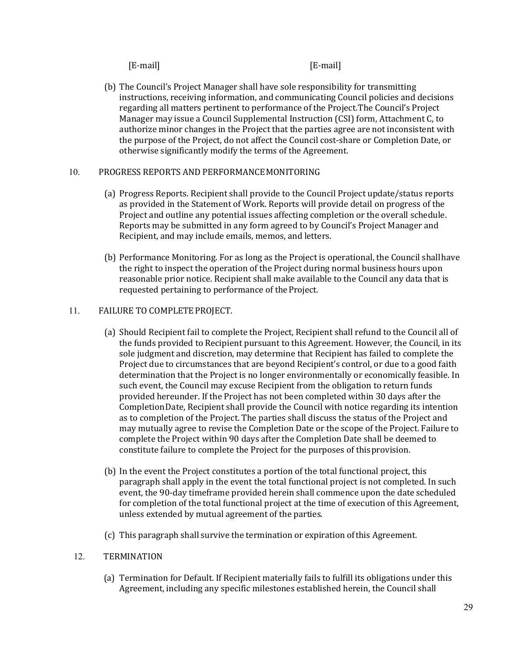[E-mail] [E-mail]

(b) The Council's Project Manager shall have sole responsibility for transmitting instructions, receiving information, and communicating Council policies and decisions regarding all matters pertinent to performance of the Project.The Council's Project Manager may issue a Council Supplemental Instruction (CSI) form, Attachment C, to authorize minor changes in the Project that the parties agree are not inconsistent with the purpose of the Project, do not affect the Council cost-share or Completion Date, or otherwise significantly modify the terms of the Agreement.

### 10. PROGRESS REPORTS AND PERFORMANCEMONITORING

- (a) Progress Reports. Recipient shall provide to the Council Project update/status reports as provided in the Statement of Work. Reports will provide detail on progress of the Project and outline any potential issues affecting completion or the overall schedule. Reports may be submitted in any form agreed to by Council's Project Manager and Recipient, and may include emails, memos, and letters.
- (b) Performance Monitoring. For as long as the Project is operational, the Council shallhave the right to inspect the operation of the Project during normal business hours upon reasonable prior notice. Recipient shall make available to the Council any data that is requested pertaining to performance of theProject.

### 11. FAILURE TO COMPLETEPROJECT.

- (a) Should Recipient fail to complete the Project, Recipient shall refund to the Council all of the funds provided to Recipient pursuant to this Agreement. However, the Council, in its sole judgment and discretion, may determine that Recipient has failed to complete the Project due to circumstances that are beyond Recipient's control, or due to a good faith determination that the Project is no longer environmentally or economically feasible. In such event, the Council may excuse Recipient from the obligation to return funds provided hereunder. If the Project has not been completed within 30 days after the CompletionDate, Recipient shall provide the Council with notice regarding its intention as to completion of the Project. The parties shall discuss the status of the Project and may mutually agree to revise the Completion Date or the scope of the Project. Failure to complete the Project within 90 days after the Completion Date shall be deemed to constitute failure to complete the Project for the purposes of thisprovision.
- (b) In the event the Project constitutes a portion of the total functional project, this paragraph shall apply in the event the total functional project is not completed. In such event, the 90-day timeframe provided herein shall commence upon the date scheduled for completion of the total functional project at the time of execution of this Agreement, unless extended by mutual agreement of the parties.
- (c) This paragraph shall survive the termination or expiration ofthis Agreement.

### 12. TERMINATION

(a) Termination for Default. If Recipient materially fails to fulfill its obligations under this Agreement, including any specific milestones established herein, the Council shall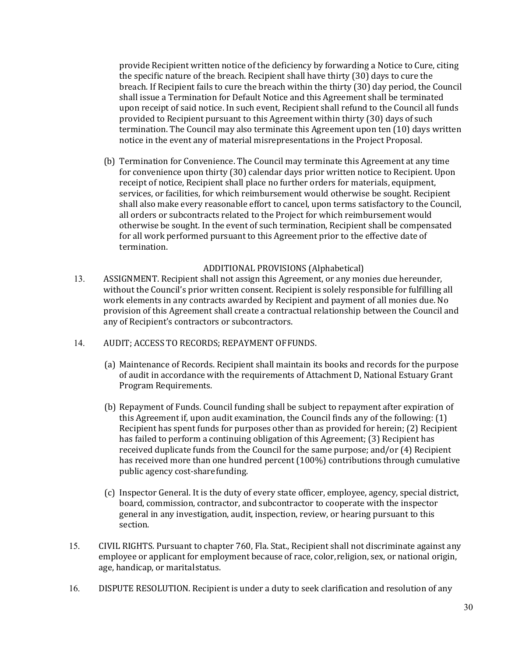provide Recipient written notice of the deficiency by forwarding a Notice to Cure, citing the specific nature of the breach. Recipient shall have thirty (30) days to cure the breach. If Recipient fails to cure the breach within the thirty (30) day period, the Council shall issue a Termination for Default Notice and this Agreement shall be terminated upon receipt of said notice. In such event, Recipient shall refund to the Council all funds provided to Recipient pursuant to this Agreement within thirty (30) days of such termination. The Council may also terminate this Agreement upon ten (10) days written notice in the event any of material misrepresentations in the Project Proposal.

(b) Termination for Convenience. The Council may terminate this Agreement at any time for convenience upon thirty (30) calendar days prior written notice to Recipient. Upon receipt of notice, Recipient shall place no further orders for materials, equipment, services, or facilities, for which reimbursement would otherwise be sought. Recipient shall also make every reasonable effort to cancel, upon terms satisfactory to the Council, all orders or subcontracts related to the Project for which reimbursement would otherwise be sought. In the event of such termination, Recipient shall be compensated for all work performed pursuant to this Agreement prior to the effective date of termination.

### ADDITIONAL PROVISIONS (Alphabetical)

- 13. ASSIGNMENT. Recipient shall not assign this Agreement, or any monies due hereunder, without the Council's prior written consent. Recipient is solely responsible for fulfilling all work elements in any contracts awarded by Recipient and payment of all monies due. No provision of this Agreement shall create a contractual relationship between the Council and any of Recipient's contractors or subcontractors.
- 14. AUDIT; ACCESS TO RECORDS; REPAYMENT OFFUNDS.
	- (a) Maintenance of Records. Recipient shall maintain its books and records for the purpose of audit in accordance with the requirements of Attachment D, National Estuary Grant Program Requirements.
	- (b) Repayment of Funds. Council funding shall be subject to repayment after expiration of this Agreement if, upon audit examination, the Council finds any of the following: (1) Recipient has spent funds for purposes other than as provided for herein; (2) Recipient has failed to perform a continuing obligation of this Agreement; (3) Recipient has received duplicate funds from the Council for the same purpose; and/or (4) Recipient has received more than one hundred percent (100%) contributions through cumulative public agency cost-sharefunding.
	- (c) Inspector General. It is the duty of every state officer, employee, agency, special district, board, commission, contractor, and subcontractor to cooperate with the inspector general in any investigation, audit, inspection, review, or hearing pursuant to this section.
- 15. CIVIL RIGHTS. Pursuant to chapter 760, Fla. Stat., Recipient shall not discriminate against any employee or applicant for employment because of race, color,religion, sex, or national origin, age, handicap, or maritalstatus.
- 16. DISPUTE RESOLUTION. Recipient is under a duty to seek clarification and resolution of any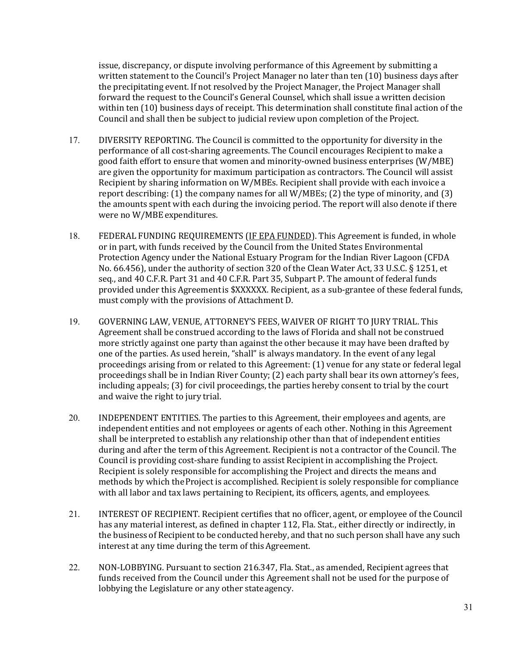issue, discrepancy, or dispute involving performance of this Agreement by submitting a written statement to the Council's Project Manager no later than ten (10) business days after the precipitating event. If not resolved by the Project Manager, the Project Manager shall forward the request to the Council's General Counsel, which shall issue a written decision within ten (10) business days of receipt. This determination shall constitute final action of the Council and shall then be subject to judicial review upon completion of the Project.

- 17. DIVERSITY REPORTING. The Council is committed to the opportunity for diversity in the performance of all cost-sharing agreements. The Council encourages Recipient to make a good faith effort to ensure that women and minority-owned business enterprises (W/MBE) are given the opportunity for maximum participation as contractors. The Council will assist Recipient by sharing information on W/MBEs. Recipient shall provide with each invoice a report describing: (1) the company names for all W/MBEs; (2) the type of minority, and (3) the amounts spent with each during the invoicing period. The report will also denote if there were no W/MBE expenditures.
- 18. FEDERAL FUNDING REQUIREMENTS (IF EPA FUNDED). This Agreement is funded, in whole or in part, with funds received by the Council from the United States Environmental Protection Agency under the National Estuary Program for the Indian River Lagoon (CFDA No. 66.456), under the authority of section 320 of the Clean Water Act, 33 U.S.C. § 1251, et seq., and 40 C.F.R. Part 31 and 40 C.F.R. Part 35, Subpart P. The amount of federal funds provided under this Agreementis \$XXXXXX. Recipient, as a sub-grantee of these federal funds, must comply with the provisions of Attachment D.
- 19. GOVERNING LAW, VENUE, ATTORNEY'S FEES, WAIVER OF RIGHT TO JURY TRIAL. This Agreement shall be construed according to the laws of Florida and shall not be construed more strictly against one party than against the other because it may have been drafted by one of the parties. As used herein, "shall" is always mandatory. In the event of any legal proceedings arising from or related to this Agreement: (1) venue for any state or federal legal proceedings shall be in Indian River County; (2) each party shall bear its own attorney's fees, including appeals; (3) for civil proceedings, the parties hereby consent to trial by the court and waive the right to jury trial.
- 20. INDEPENDENT ENTITIES. The parties to this Agreement, their employees and agents, are independent entities and not employees or agents of each other. Nothing in this Agreement shall be interpreted to establish any relationship other than that of independent entities during and after the term of this Agreement. Recipient is not a contractor of the Council. The Council is providing cost-share funding to assist Recipient in accomplishing the Project. Recipient is solely responsible for accomplishing the Project and directs the means and methods by which theProject is accomplished. Recipient is solely responsible for compliance with all labor and tax laws pertaining to Recipient, its officers, agents, and employees.
- 21. INTEREST OF RECIPIENT. Recipient certifies that no officer, agent, or employee of the Council has any material interest, as defined in chapter 112, Fla. Stat., either directly or indirectly, in the business of Recipient to be conducted hereby, and that no such person shall have any such interest at any time during the term of this Agreement.
- 22. NON-LOBBYING. Pursuant to section 216.347, Fla. Stat., as amended, Recipient agrees that funds received from the Council under this Agreement shall not be used for the purpose of lobbying the Legislature or any other stateagency.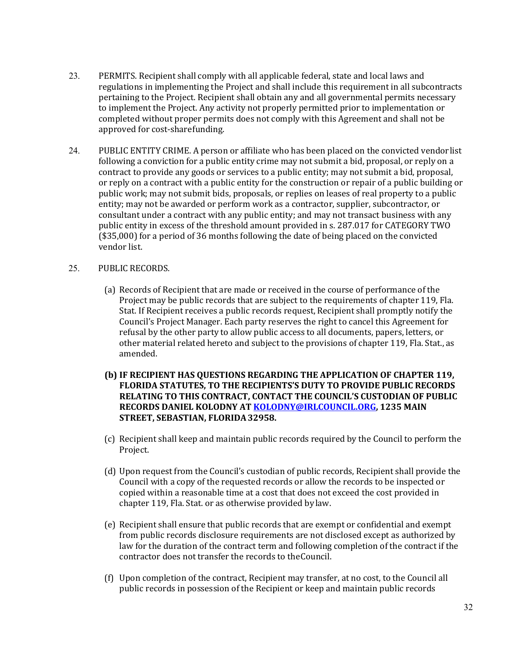- 23. PERMITS. Recipient shall comply with all applicable federal, state and local laws and regulations in implementing the Project and shall include this requirement in all subcontracts pertaining to the Project. Recipient shall obtain any and all governmental permits necessary to implement the Project. Any activity not properly permitted prior to implementation or completed without proper permits does not comply with this Agreement and shall not be approved for cost-sharefunding.
- 24. PUBLIC ENTITY CRIME. A person or affiliate who has been placed on the convicted vendorlist following a conviction for a public entity crime may not submit a bid, proposal, or reply on a contract to provide any goods or services to a public entity; may not submit a bid, proposal, or reply on a contract with a public entity for the construction or repair of a public building or public work; may not submit bids, proposals, or replies on leases of real property to a public entity; may not be awarded or perform work as a contractor, supplier, subcontractor, or consultant under a contract with any public entity; and may not transact business with any public entity in excess of the threshold amount provided in s. 287.017 for CATEGORY TWO (\$35,000) for a period of 36 months following the date of being placed on the convicted vendor list.

### 25. PUBLIC RECORDS.

- (a) Records of Recipient that are made or received in the course of performance of the Project may be public records that are subject to the requirements of chapter 119, Fla. Stat. If Recipient receives a public records request, Recipient shall promptly notify the Council's Project Manager. Each party reserves the right to cancel this Agreement for refusal by the other party to allow public access to all documents, papers, letters, or other material related hereto and subject to the provisions of chapter 119, Fla. Stat., as amended.
- **(b) IF RECIPIENT HAS QUESTIONS REGARDING THE APPLICATION OF CHAPTER 119, FLORIDA STATUTES, TO THE RECIPIENTS'S DUTY TO PROVIDE PUBLIC RECORDS RELATING TO THIS CONTRACT, CONTACT THE COUNCIL'S CUSTODIAN OF PUBLIC RECORDS DANIEL KOLODNY AT [KOLODNY@IRLCOUNCIL.ORG, 1](mailto:KOLODNY@IRLCOUNCIL.ORG)235 MAIN STREET, SEBASTIAN, FLORIDA32958.**
- (c) Recipient shall keep and maintain public records required by the Council to perform the Project.
- (d) Upon request from the Council's custodian of public records, Recipient shall provide the Council with a copy of the requested records or allow the records to be inspected or copied within a reasonable time at a cost that does not exceed the cost provided in chapter 119, Fla. Stat. or as otherwise provided bylaw.
- (e) Recipient shall ensure that public records that are exempt or confidential and exempt from public records disclosure requirements are not disclosed except as authorized by law for the duration of the contract term and following completion of the contract if the contractor does not transfer the records to theCouncil.
- (f) Upon completion of the contract, Recipient may transfer, at no cost, to the Council all public records in possession of the Recipient or keep and maintain public records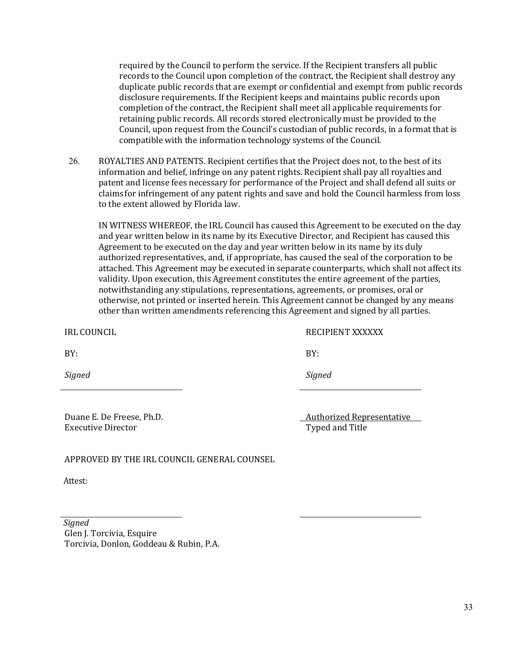required by the Council to perform the service. If the Recipient transfers all public records to the Council upon completion of the contract, the Recipient shall destroy any duplicate public records that are exempt or confidential and exempt from public records disclosure requirements. If the Recipient keeps and maintains public records upon completion of the contract, the Recipient shall meet all applicable requirements for retaining public records. All records stored electronically must be provided to the Council, upon request from the Council's custodian of public records, in a format that is compatible with the information technology systems of the Council.

26. ROYALTIES AND PATENTS. Recipient certifies that the Project does not, to the best of its information and belief, infringe on any patent rights. Recipient shall pay all royalties and patent and license fees necessary for performance of the Project and shall defend all suits or claims for infringement of any patent rights and save and hold the Council harmless from loss to the extent allowed by Florida law.

IN WITNESS WHEREOF, the IRL Council has caused this Agreement to be executed on the day and year written below in its name by its Executive Director, and Recipient has caused this Agreement to be executed on the day and year written below in its name by its duly authorized representatives, and, if appropriate, has caused the seal of the corporation to be attached. This Agreement may be executed in separate counterparts, which shall not affect its validity. Upon execution, this Agreement constitutes the entire agreement of the parties, notwithstanding any stipulations, representations, agreements, or promises, oral or otherwise, not printed or inserted herein. This Agreement cannot be changed by any means other than written amendments referencing this Agreement and signed by all parties.

IRL COUNCIL RECIPIENT XXXXXX

 $BY:$ 

*Signed Signed*

Duane E. De Freese, Ph.D. <br>Executive Director **Authorized Representative** Typed and Title

APPROVED BY THE IRL COUNCIL GENERAL COUNSEL

Attest:

#### *Signed*

Glen J. Torcivia, Esquire Torcivia, Donlon, Goddeau & Rubin, P.A.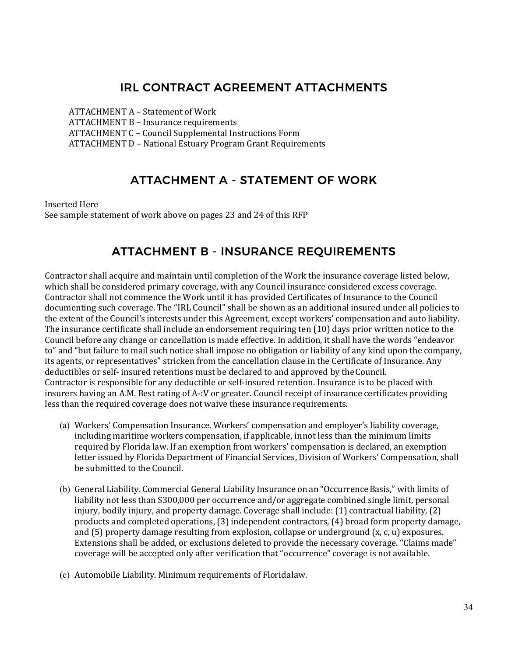# IRL CONTRACT AGREEMENT ATTACHMENTS

ATTACHMENT A – Statement of Work ATTACHMENT B – Insurance requirements ATTACHMENT C – Council Supplemental Instructions Form ATTACHMENT D – National Estuary Program Grant Requirements

## ATTACHMENT A ‐ STATEMENT OF WORK

Inserted Here See sample statement of work above on pages 23 and 24 of this RFP

# ATTACHMENT B ‐ INSURANCE REQUIREMENTS

Contractor shall acquire and maintain until completion of the Work the insurance coverage listed below, which shall be considered primary coverage, with any Council insurance considered excess coverage. Contractor shall not commence the Work until it has provided Certificates of Insurance to the Council documenting such coverage. The "IRL Council" shall be shown as an additional insured under all policies to the extent of the Council's interests under this Agreement, except workers' compensation and auto liability. The insurance certificate shall include an endorsement requiring ten (10) days prior written notice to the Council before any change or cancellation is made effective. In addition, it shall have the words "endeavor to" and "but failure to mail such notice shall impose no obligation or liability of any kind upon the company, its agents, or representatives" stricken from the cancellation clause in the Certificate of Insurance. Any deductibles or self- insured retentions must be declared to and approved by theCouncil. Contractor is responsible for any deductible or self-insured retention. Insurance is to be placed with insurers having an A.M. Best rating of A-:V or greater. Council receipt of insurance certificates providing less than the required coverage does not waive these insurance requirements.

- (a) Workers' Compensation Insurance. Workers' compensation and employer's liability coverage, including maritime workers compensation, if applicable, innot less than the minimum limits required by Florida law. If an exemption from workers' compensation is declared, an exemption letter issued by Florida Department of Financial Services, Division of Workers' Compensation, shall be submitted to the Council.
- (b) General Liability. Commercial General Liability Insurance on an "OccurrenceBasis," with limits of liability not less than \$300,000 per occurrence and/or aggregate combined single limit, personal injury, bodily injury, and property damage. Coverage shall include: (1) contractual liability, (2) products and completed operations, (3) independent contractors, (4) broad form property damage, and  $(5)$  property damage resulting from explosion, collapse or underground  $(x, c, u)$  exposures. Extensions shall be added, or exclusions deleted to provide the necessary coverage. "Claims made" coverage will be accepted only after verification that "occurrence" coverage is not available.
- (c) Automobile Liability. Minimum requirements of Floridalaw.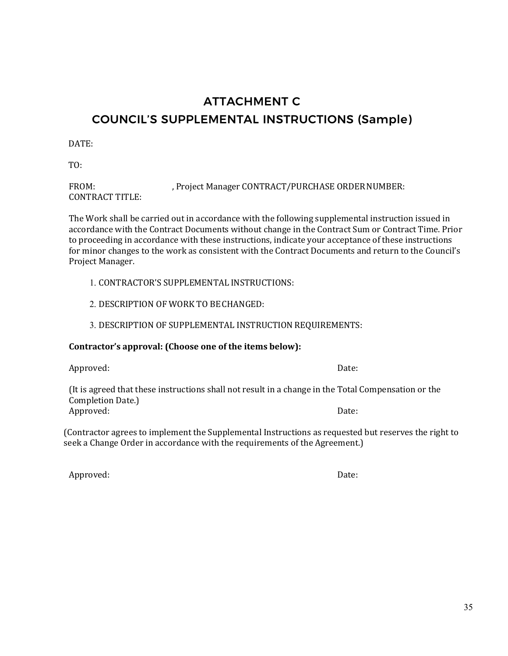# ATTACHMENT C COUNCIL'S SUPPLEMENTAL INSTRUCTIONS (Sample)

DATE:

TO:

| FROM:                  | , Project Manager CONTRACT/PURCHASE ORDER NUMBER: |
|------------------------|---------------------------------------------------|
| <b>CONTRACT TITLE:</b> |                                                   |

The Work shall be carried out in accordance with the following supplemental instruction issued in accordance with the Contract Documents without change in the Contract Sum or Contract Time. Prior to proceeding in accordance with these instructions, indicate your acceptance of these instructions for minor changes to the work as consistent with the Contract Documents and return to the Council's Project Manager.

1. CONTRACTOR'S SUPPLEMENTAL INSTRUCTIONS:

2. DESCRIPTION OF WORK TO BECHANGED:

3. DESCRIPTION OF SUPPLEMENTAL INSTRUCTION REQUIREMENTS:

### **Contractor's approval: (Choose one of the items below):**

Approved: Date:

(It is agreed that these instructions shall not result in a change in the Total Compensation or the Completion Date.)<br>Approved: Approved: Date:

(Contractor agrees to implement the Supplemental Instructions as requested but reserves the right to seek a Change Order in accordance with the requirements of the Agreement.)

Approved: Date: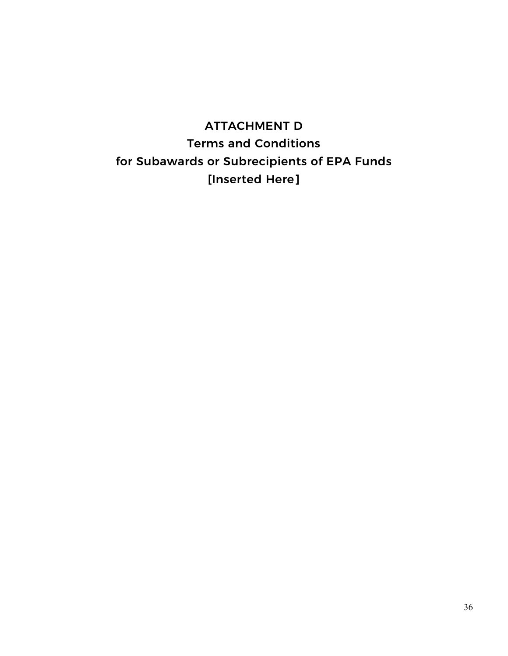# ATTACHMENT D Terms and Conditions for Subawards or Subrecipients of EPA Funds [Inserted Here]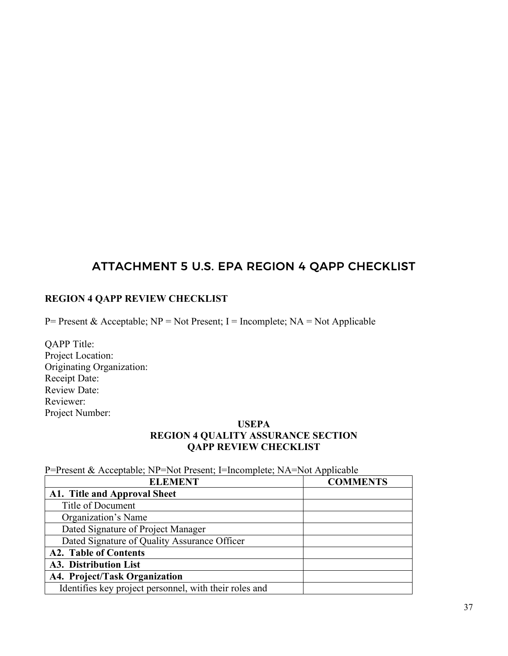# ATTACHMENT 5 U.S. EPA REGION 4 QAPP CHECKLIST

### **REGION 4 QAPP REVIEW CHECKLIST**

P= Present & Acceptable;  $NP = Not Present$ ; I = Incomplete;  $NA = Not Applied$ 

QAPP Title: Project Location: Originating Organization: Receipt Date: Review Date: Reviewer: Project Number:

### **USEPA**

### **REGION 4 QUALITY ASSURANCE SECTION QAPP REVIEW CHECKLIST**

P=Present & Acceptable; NP=Not Present; I=Incomplete; NA=Not Applicable

| <b>ELEMENT</b>                                         | <b>COMMENTS</b> |
|--------------------------------------------------------|-----------------|
| A1. Title and Approval Sheet                           |                 |
| Title of Document                                      |                 |
| Organization's Name                                    |                 |
| Dated Signature of Project Manager                     |                 |
| Dated Signature of Quality Assurance Officer           |                 |
| <b>A2. Table of Contents</b>                           |                 |
| A3. Distribution List                                  |                 |
| A4. Project/Task Organization                          |                 |
| Identifies key project personnel, with their roles and |                 |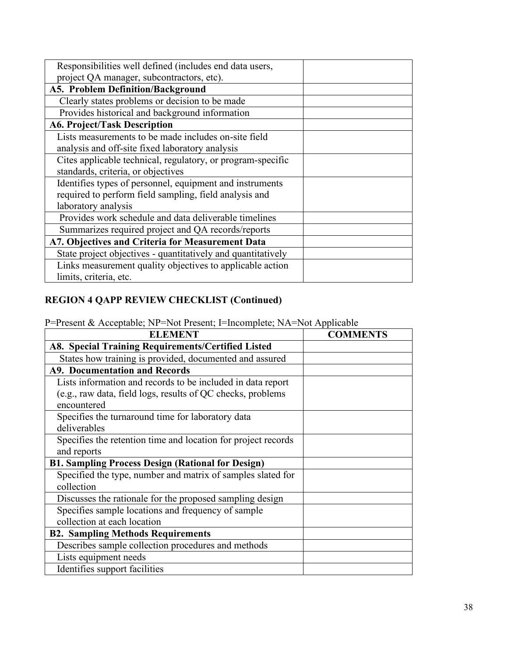| Responsibilities well defined (includes end data users,      |  |
|--------------------------------------------------------------|--|
| project QA manager, subcontractors, etc).                    |  |
| A5. Problem Definition/Background                            |  |
| Clearly states problems or decision to be made               |  |
| Provides historical and background information               |  |
| <b>A6. Project/Task Description</b>                          |  |
| Lists measurements to be made includes on-site field         |  |
| analysis and off-site fixed laboratory analysis              |  |
| Cites applicable technical, regulatory, or program-specific  |  |
| standards, criteria, or objectives                           |  |
| Identifies types of personnel, equipment and instruments     |  |
| required to perform field sampling, field analysis and       |  |
| laboratory analysis                                          |  |
| Provides work schedule and data deliverable timelines        |  |
| Summarizes required project and QA records/reports           |  |
| A7. Objectives and Criteria for Measurement Data             |  |
| State project objectives - quantitatively and quantitatively |  |
| Links measurement quality objectives to applicable action    |  |
| limits, criteria, etc.                                       |  |
|                                                              |  |

P=Present & Acceptable; NP=Not Present; I=Incomplete; NA=Not Applicable

| <b>ELEMENT</b>                                                | <b>COMMENTS</b> |
|---------------------------------------------------------------|-----------------|
| A8. Special Training Requirements/Certified Listed            |                 |
| States how training is provided, documented and assured       |                 |
| <b>A9. Documentation and Records</b>                          |                 |
| Lists information and records to be included in data report   |                 |
| (e.g., raw data, field logs, results of QC checks, problems   |                 |
| encountered                                                   |                 |
| Specifies the turnaround time for laboratory data             |                 |
| deliverables                                                  |                 |
| Specifies the retention time and location for project records |                 |
| and reports                                                   |                 |
| <b>B1. Sampling Process Design (Rational for Design)</b>      |                 |
| Specified the type, number and matrix of samples slated for   |                 |
| collection                                                    |                 |
| Discusses the rationale for the proposed sampling design      |                 |
| Specifies sample locations and frequency of sample            |                 |
| collection at each location                                   |                 |
| <b>B2. Sampling Methods Requirements</b>                      |                 |
| Describes sample collection procedures and methods            |                 |
| Lists equipment needs                                         |                 |
| Identifies support facilities                                 |                 |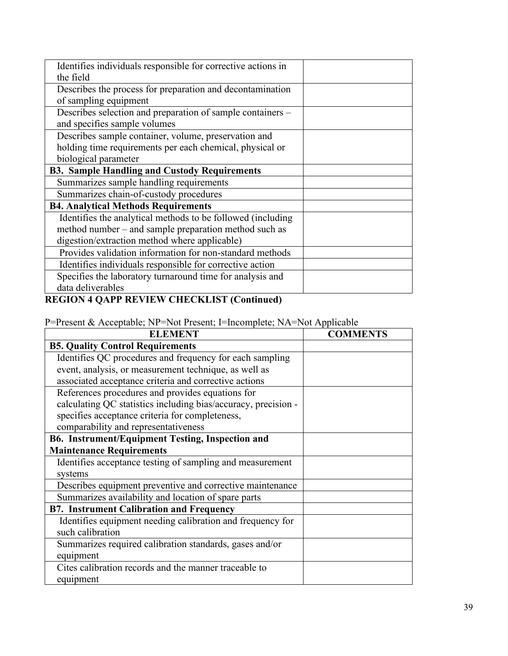| Identifies individuals responsible for corrective actions in |  |
|--------------------------------------------------------------|--|
| the field                                                    |  |
| Describes the process for preparation and decontamination    |  |
| of sampling equipment                                        |  |
| Describes selection and preparation of sample containers –   |  |
| and specifies sample volumes                                 |  |
| Describes sample container, volume, preservation and         |  |
| holding time requirements per each chemical, physical or     |  |
| biological parameter                                         |  |
| <b>B3. Sample Handling and Custody Requirements</b>          |  |
| Summarizes sample handling requirements                      |  |
| Summarizes chain-of-custody procedures                       |  |
| <b>B4. Analytical Methods Requirements</b>                   |  |
| Identifies the analytical methods to be followed (including  |  |
| method number – and sample preparation method such as        |  |
| digestion/extraction method where applicable)                |  |
| Provides validation information for non-standard methods     |  |
| Identifies individuals responsible for corrective action     |  |
| Specifies the laboratory turnaround time for analysis and    |  |
| data deliverables                                            |  |
|                                                              |  |

| P=Present & Acceptable; NP=Not Present; I=Incomplete; NA=Not Applicable |  |  |  |
|-------------------------------------------------------------------------|--|--|--|
|-------------------------------------------------------------------------|--|--|--|

| <b>ELEMENT</b>                                                 | <b>COMMENTS</b> |
|----------------------------------------------------------------|-----------------|
| <b>B5. Quality Control Requirements</b>                        |                 |
| Identifies QC procedures and frequency for each sampling       |                 |
| event, analysis, or measurement technique, as well as          |                 |
| associated acceptance criteria and corrective actions          |                 |
| References procedures and provides equations for               |                 |
| calculating QC statistics including bias/accuracy, precision - |                 |
| specifies acceptance criteria for completeness,                |                 |
| comparability and representativeness                           |                 |
| B6. Instrument/Equipment Testing, Inspection and               |                 |
| <b>Maintenance Requirements</b>                                |                 |
| Identifies acceptance testing of sampling and measurement      |                 |
| systems                                                        |                 |
| Describes equipment preventive and corrective maintenance      |                 |
| Summarizes availability and location of spare parts            |                 |
| <b>B7. Instrument Calibration and Frequency</b>                |                 |
| Identifies equipment needing calibration and frequency for     |                 |
| such calibration                                               |                 |
| Summarizes required calibration standards, gases and/or        |                 |
| equipment                                                      |                 |
| Cites calibration records and the manner traceable to          |                 |
| equipment                                                      |                 |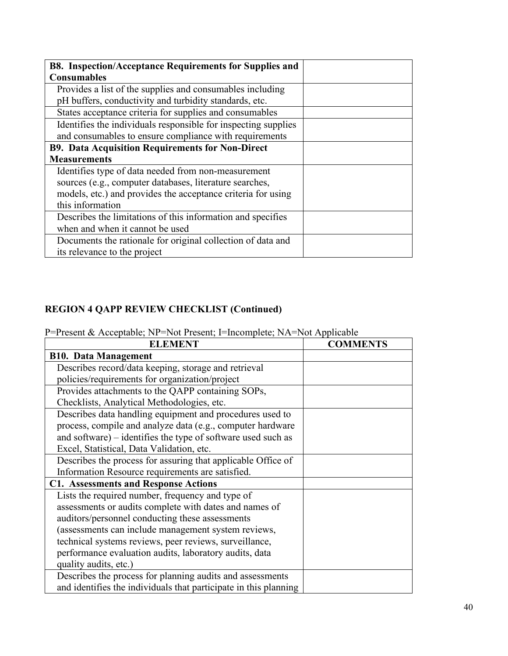| B8. Inspection/Acceptance Requirements for Supplies and        |  |
|----------------------------------------------------------------|--|
| <b>Consumables</b>                                             |  |
| Provides a list of the supplies and consumables including      |  |
| pH buffers, conductivity and turbidity standards, etc.         |  |
| States acceptance criteria for supplies and consumables        |  |
| Identifies the individuals responsible for inspecting supplies |  |
| and consumables to ensure compliance with requirements         |  |
| <b>B9. Data Acquisition Requirements for Non-Direct</b>        |  |
| <b>Measurements</b>                                            |  |
| Identifies type of data needed from non-measurement            |  |
| sources (e.g., computer databases, literature searches,        |  |
| models, etc.) and provides the acceptance criteria for using   |  |
| this information                                               |  |
| Describes the limitations of this information and specifies    |  |
| when and when it cannot be used                                |  |
| Documents the rationale for original collection of data and    |  |
| its relevance to the project                                   |  |

P=Present & Acceptable; NP=Not Present; I=Incomplete; NA=Not Applicable

| <b>ELEMENT</b>                                                   | <b>COMMENTS</b> |
|------------------------------------------------------------------|-----------------|
| <b>B10. Data Management</b>                                      |                 |
| Describes record/data keeping, storage and retrieval             |                 |
| policies/requirements for organization/project                   |                 |
| Provides attachments to the QAPP containing SOPs,                |                 |
| Checklists, Analytical Methodologies, etc.                       |                 |
| Describes data handling equipment and procedures used to         |                 |
| process, compile and analyze data (e.g., computer hardware       |                 |
| and software) – identifies the type of software used such as     |                 |
| Excel, Statistical, Data Validation, etc.                        |                 |
| Describes the process for assuring that applicable Office of     |                 |
| Information Resource requirements are satisfied.                 |                 |
| <b>C1. Assessments and Response Actions</b>                      |                 |
| Lists the required number, frequency and type of                 |                 |
| assessments or audits complete with dates and names of           |                 |
| auditors/personnel conducting these assessments                  |                 |
| (assessments can include management system reviews,              |                 |
| technical systems reviews, peer reviews, surveillance,           |                 |
| performance evaluation audits, laboratory audits, data           |                 |
| quality audits, etc.)                                            |                 |
| Describes the process for planning audits and assessments        |                 |
| and identifies the individuals that participate in this planning |                 |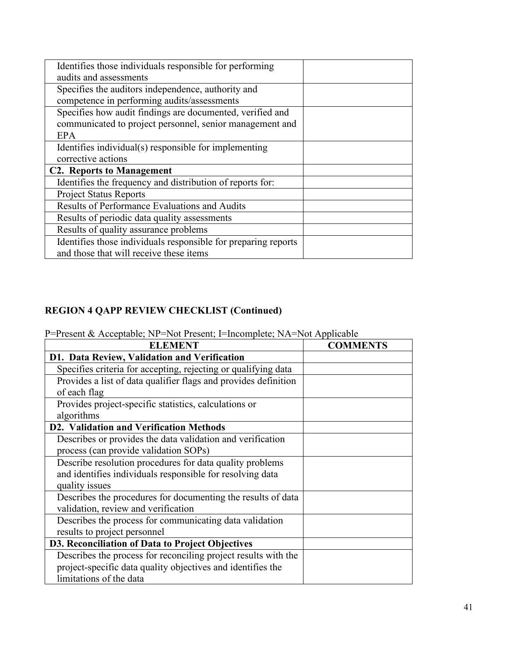P=Present & Acceptable; NP=Not Present; I=Incomplete; NA=Not Applicable

| <b>ELEMENT</b>                                                  | <b>COMMENTS</b> |
|-----------------------------------------------------------------|-----------------|
| D1. Data Review, Validation and Verification                    |                 |
| Specifies criteria for accepting, rejecting or qualifying data  |                 |
| Provides a list of data qualifier flags and provides definition |                 |
| of each flag                                                    |                 |
| Provides project-specific statistics, calculations or           |                 |
| algorithms                                                      |                 |
| D2. Validation and Verification Methods                         |                 |
| Describes or provides the data validation and verification      |                 |
| process (can provide validation SOPs)                           |                 |
| Describe resolution procedures for data quality problems        |                 |
| and identifies individuals responsible for resolving data       |                 |
| quality issues                                                  |                 |
| Describes the procedures for documenting the results of data    |                 |
| validation, review and verification                             |                 |
| Describes the process for communicating data validation         |                 |
| results to project personnel                                    |                 |
| D3. Reconciliation of Data to Project Objectives                |                 |
| Describes the process for reconciling project results with the  |                 |
| project-specific data quality objectives and identifies the     |                 |
| limitations of the data                                         |                 |